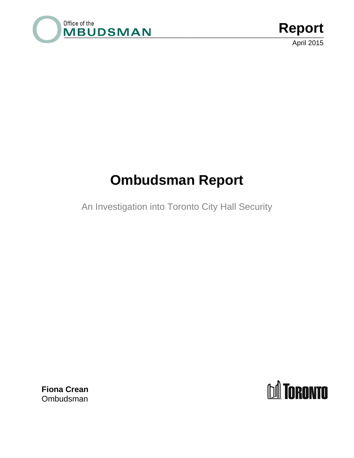

# **Ombudsman Report**

An Investigation into Toronto City Hall Security

**Fiona Crean** Ombudsman

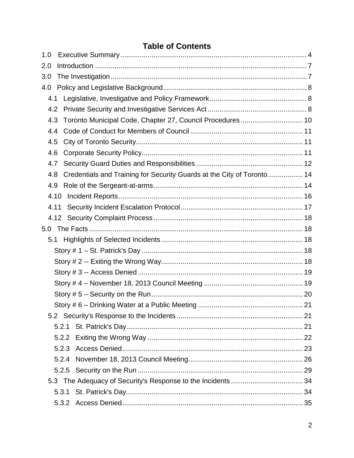# **Table of Contents**

| 1.0  |                                                                        |  |
|------|------------------------------------------------------------------------|--|
| 2.0  |                                                                        |  |
| 3.0  |                                                                        |  |
| 4.0  |                                                                        |  |
| 4.1  |                                                                        |  |
| 4.2  |                                                                        |  |
| 4.3  | Toronto Municipal Code, Chapter 27, Council Procedures  10             |  |
| 4.4  |                                                                        |  |
| 4.5  |                                                                        |  |
| 4.6  |                                                                        |  |
| 4.7  |                                                                        |  |
| 4.8  | Credentials and Training for Security Guards at the City of Toronto 14 |  |
| 4.9  |                                                                        |  |
| 4.10 |                                                                        |  |
| 4.11 |                                                                        |  |
|      |                                                                        |  |
|      |                                                                        |  |
| 5.1  |                                                                        |  |
|      |                                                                        |  |
|      |                                                                        |  |
|      |                                                                        |  |
|      |                                                                        |  |
|      |                                                                        |  |
|      |                                                                        |  |
|      |                                                                        |  |
|      |                                                                        |  |
|      | 5.2.2                                                                  |  |
|      |                                                                        |  |
|      | 5.2.4                                                                  |  |
|      |                                                                        |  |
|      |                                                                        |  |
|      |                                                                        |  |
|      |                                                                        |  |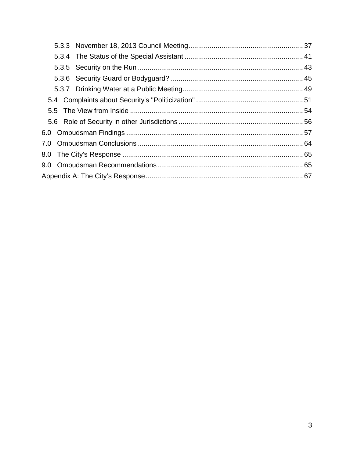| 7.0 |  |  |
|-----|--|--|
|     |  |  |
|     |  |  |
|     |  |  |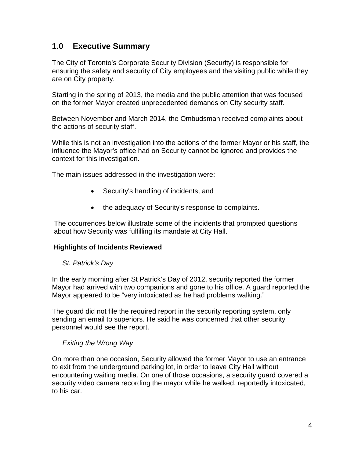# <span id="page-3-0"></span>**1.0 Executive Summary**

The City of Toronto's Corporate Security Division (Security) is responsible for ensuring the safety and security of City employees and the visiting public while they are on City property.

Starting in the spring of 2013, the media and the public attention that was focused on the former Mayor created unprecedented demands on City security staff.

Between November and March 2014, the Ombudsman received complaints about the actions of security staff.

While this is not an investigation into the actions of the former Mayor or his staff, the influence the Mayor's office had on Security cannot be ignored and provides the context for this investigation.

The main issues addressed in the investigation were:

- Security's handling of incidents, and
- the adequacy of Security's response to complaints.

The occurrences below illustrate some of the incidents that prompted questions about how Security was fulfilling its mandate at City Hall.

#### **Highlights of Incidents Reviewed**

#### *St. Patrick's Day*

In the early morning after St Patrick's Day of 2012, security reported the former Mayor had arrived with two companions and gone to his office. A guard reported the Mayor appeared to be "very intoxicated as he had problems walking."

The guard did not file the required report in the security reporting system, only sending an email to superiors. He said he was concerned that other security personnel would see the report.

#### *Exiting the Wrong Way*

On more than one occasion, Security allowed the former Mayor to use an entrance to exit from the underground parking lot, in order to leave City Hall without encountering waiting media. On one of those occasions, a security guard covered a security video camera recording the mayor while he walked, reportedly intoxicated, to his car.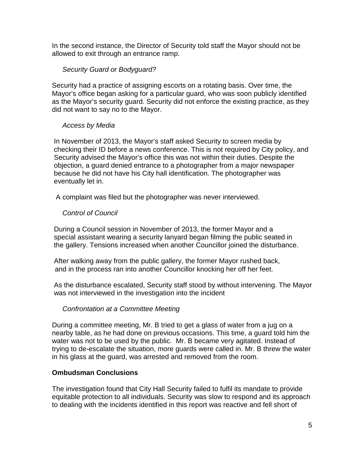In the second instance, the Director of Security told staff the Mayor should not be allowed to exit through an entrance ramp.

#### *Security Guard or Bodyguard?*

Security had a practice of assigning escorts on a rotating basis. Over time, the Mayor's office began asking for a particular guard, who was soon publicly identified as the Mayor's security guard. Security did not enforce the existing practice, as they did not want to say no to the Mayor.

#### *Access by Media*

In November of 2013, the Mayor's staff asked Security to screen media by checking their ID before a news conference. This is not required by City policy, and Security advised the Mayor's office this was not within their duties. Despite the objection, a guard denied entrance to a photographer from a major newspaper because he did not have his City hall identification. The photographer was eventually let in.

A complaint was filed but the photographer was never interviewed.

#### *Control of Council*

During a Council session in November of 2013, the former Mayor and a special assistant wearing a security lanyard began filming the public seated in the gallery. Tensions increased when another Councillor joined the disturbance.

After walking away from the public gallery, the former Mayor rushed back, and in the process ran into another Councillor knocking her off her feet.

As the disturbance escalated, Security staff stood by without intervening. The Mayor was not interviewed in the investigation into the incident

#### *Confrontation at a Committee Meeting*

During a committee meeting, Mr. B tried to get a glass of water from a jug on a nearby table, as he had done on previous occasions. This time, a guard told him the water was not to be used by the public. Mr. B became very agitated. Instead of trying to de-escalate the situation, more guards were called in. Mr. B threw the water in his glass at the guard, was arrested and removed from the room.

#### **Ombudsman Conclusions**

The investigation found that City Hall Security failed to fulfil its mandate to provide equitable protection to all individuals. Security was slow to respond and its approach to dealing with the incidents identified in this report was reactive and fell short of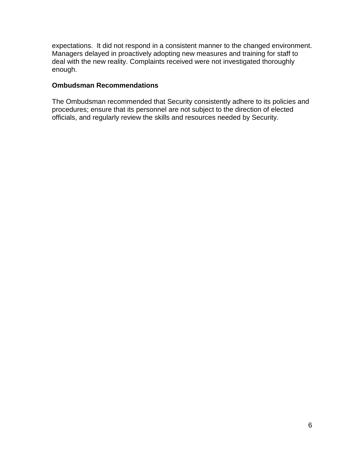expectations. It did not respond in a consistent manner to the changed environment. Managers delayed in proactively adopting new measures and training for staff to deal with the new reality. Complaints received were not investigated thoroughly enough.

#### **Ombudsman Recommendations**

The Ombudsman recommended that Security consistently adhere to its policies and procedures; ensure that its personnel are not subject to the direction of elected officials, and regularly review the skills and resources needed by Security.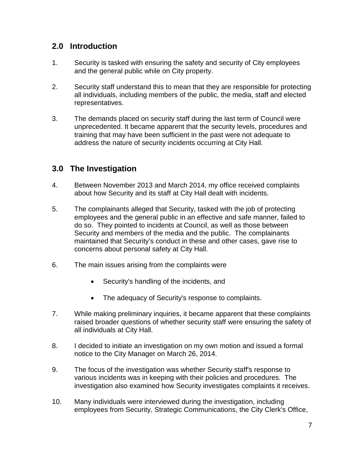# <span id="page-6-0"></span>**2.0 Introduction**

- 1. Security is tasked with ensuring the safety and security of City employees and the general public while on City property.
- 2. Security staff understand this to mean that they are responsible for protecting all individuals, including members of the public, the media, staff and elected representatives.
- 3. The demands placed on security staff during the last term of Council were unprecedented. It became apparent that the security levels, procedures and training that may have been sufficient in the past were not adequate to address the nature of security incidents occurring at City Hall.

# <span id="page-6-1"></span>**3.0 The Investigation**

- 4. Between November 2013 and March 2014, my office received complaints about how Security and its staff at City Hall dealt with incidents.
- 5. The complainants alleged that Security, tasked with the job of protecting employees and the general public in an effective and safe manner, failed to do so. They pointed to incidents at Council, as well as those between Security and members of the media and the public. The complainants maintained that Security's conduct in these and other cases, gave rise to concerns about personal safety at City Hall.
- 6. The main issues arising from the complaints were
	- Security's handling of the incidents, and
	- The adequacy of Security's response to complaints.
- 7. While making preliminary inquiries, it became apparent that these complaints raised broader questions of whether security staff were ensuring the safety of all individuals at City Hall.
- 8. I decided to initiate an investigation on my own motion and issued a formal notice to the City Manager on March 26, 2014.
- 9. The focus of the investigation was whether Security staff's response to various incidents was in keeping with their policies and procedures. The investigation also examined how Security investigates complaints it receives.
- 10. Many individuals were interviewed during the investigation, including employees from Security, Strategic Communications, the City Clerk's Office,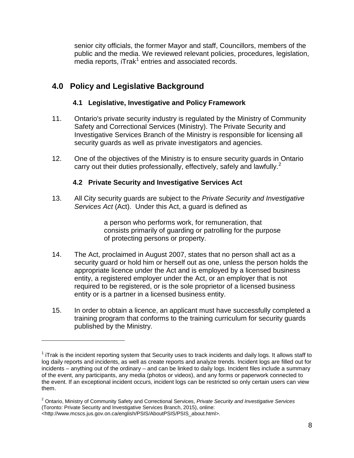senior city officials, the former Mayor and staff, Councillors, members of the public and the media. We reviewed relevant policies, procedures, legislation,  $m$ edia reports, iTrak<sup>[1](#page-7-3)</sup> entries and associated records.

# <span id="page-7-0"></span>**4.0 Policy and Legislative Background**

 $\overline{a}$ 

#### **4.1 Legislative, Investigative and Policy Framework**

- <span id="page-7-1"></span>11. Ontario's private security industry is regulated by the Ministry of Community Safety and Correctional Services (Ministry). The Private Security and Investigative Services Branch of the Ministry is responsible for licensing all security guards as well as private investigators and agencies.
- 12. One of the objectives of the Ministry is to ensure security guards in Ontario carry out their duties professionally, effectively, safely and lawfully. $2^2$  $2^2$

### **4.2 Private Security and Investigative Services Act**

<span id="page-7-2"></span>13. All City security guards are subject to the *Private Security and Investigative Services Act* (Act). Under this Act, a guard is defined as

> a person who performs work, for remuneration, that consists primarily of guarding or patrolling for the purpose of protecting persons or property.

- 14. The Act, proclaimed in August 2007, states that no person shall act as a security guard or hold him or herself out as one, unless the person holds the appropriate licence under the Act and is employed by a licensed business entity, a registered employer under the Act, or an employer that is not required to be registered, or is the sole proprietor of a licensed business entity or is a partner in a licensed business entity.
- 15. In order to obtain a licence, an applicant must have successfully completed a training program that conforms to the training curriculum for security guards published by the Ministry.

<span id="page-7-3"></span> $<sup>1</sup>$  iTrak is the incident reporting system that Security uses to track incidents and daily logs. It allows staff to</sup> log daily reports and incidents, as well as create reports and analyze trends. Incident logs are filled out for incidents – anything out of the ordinary – and can be linked to daily logs. Incident files include a summary of the event, any participants, any media (photos or videos), and any forms or paperwork connected to the event. If an exceptional incident occurs, incident logs can be restricted so only certain users can view them.

<span id="page-7-4"></span><sup>2</sup> Ontario, Ministry of Community Safety and Correctional Services, *Private Security and Investigative Services*  (Toronto: Private Security and Investigative Services Branch, 2015), online: <http://www.mcscs.jus.gov.on.ca/english/PSIS/AboutPSIS/PSIS\_about.html>.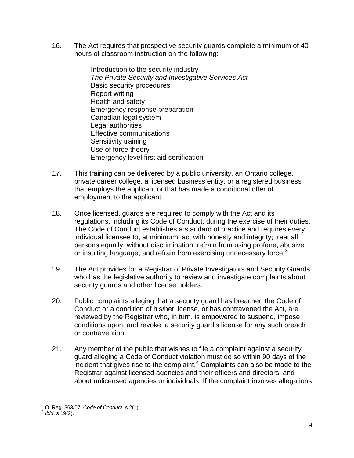16. The Act requires that prospective security guards complete a minimum of 40 hours of classroom instruction on the following:

> Introduction to the security industry *The Private Security and Investigative Services Act* Basic security procedures Report writing Health and safety Emergency response preparation Canadian legal system Legal authorities Effective communications Sensitivity training Use of force theory Emergency level first aid certification

- 17. This training can be delivered by a public university, an Ontario college, private career college, a licensed business entity, or a registered business that employs the applicant or that has made a conditional offer of employment to the applicant.
- 18. Once licensed, guards are required to comply with the Act and its regulations, including its Code of Conduct, during the exercise of their duties. The Code of Conduct establishes a standard of practice and requires every individual licensee to, at minimum, act with honesty and integrity; treat all persons equally, without discrimination; refrain from using profane, abusive or insulting language; and refrain from exercising unnecessary force.<sup>[3](#page-8-0)</sup>
- 19. The Act provides for a Registrar of Private Investigators and Security Guards, who has the legislative authority to review and investigate complaints about security guards and other license holders.
- 20. Public complaints alleging that a security guard has breached the Code of Conduct or a condition of his/her license, or has contravened the Act, are reviewed by the Registrar who, in turn, is empowered to suspend, impose conditions upon, and revoke, a security guard's license for any such breach or contravention.
- 21. Any member of the public that wishes to file a complaint against a security guard alleging a Code of Conduct violation must do so within 90 days of the incident that gives rise to the complaint.<sup>[4](#page-8-1)</sup> Complaints can also be made to the Registrar against licensed agencies and their officers and directors, and about unlicensed agencies or individuals. If the complaint involves allegations

 $\overline{a}$ 

<span id="page-8-0"></span><sup>3</sup> O. Reg. 363/07, *Code of Conduct*, s 2(1). <sup>4</sup> *Ibid*, s 19(2).

<span id="page-8-1"></span>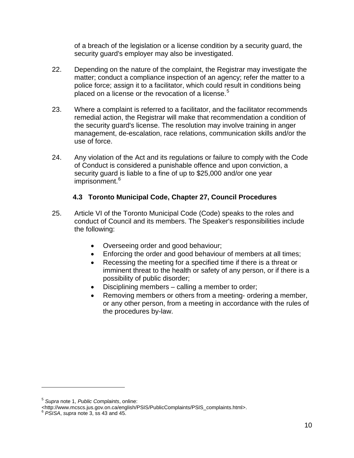of a breach of the legislation or a license condition by a security guard, the security guard's employer may also be investigated.

- 22. Depending on the nature of the complaint, the Registrar may investigate the matter; conduct a compliance inspection of an agency; refer the matter to a police force; assign it to a facilitator, which could result in conditions being placed on a license or the revocation of a license.<sup>[5](#page-9-1)</sup>
- 23. Where a complaint is referred to a facilitator, and the facilitator recommends remedial action, the Registrar will make that recommendation a condition of the security guard's license. The resolution may involve training in anger management, de-escalation, race relations, communication skills and/or the use of force.
- 24. Any violation of the Act and its regulations or failure to comply with the Code of Conduct is considered a punishable offence and upon conviction, a security guard is liable to a fine of up to \$25,000 and/or one year imprisonment.<sup>[6](#page-9-2)</sup>

#### **4.3 Toronto Municipal Code, Chapter 27, Council Procedures**

- <span id="page-9-0"></span>25. Article VI of the Toronto Municipal Code (Code) speaks to the roles and conduct of Council and its members. The Speaker's responsibilities include the following:
	- Overseeing order and good behaviour;
	- Enforcing the order and good behaviour of members at all times;
	- Recessing the meeting for a specified time if there is a threat or imminent threat to the health or safety of any person, or if there is a possibility of public disorder;
	- Disciplining members calling a member to order;
	- Removing members or others from a meeting- ordering a member, or any other person, from a meeting in accordance with the rules of the procedures by-law.

 $\overline{a}$ 

<span id="page-9-1"></span><sup>5</sup> *Supra* note 1, *Public Complaints*, online:

<sup>&</sup>lt;http://www.mcscs.jus.gov.on.ca/english/PSIS/PublicComplaints/PSIS\_complaints.html>. <sup>6</sup> *PSISA*, *supra* note 3, ss 43 and 45.

<span id="page-9-2"></span>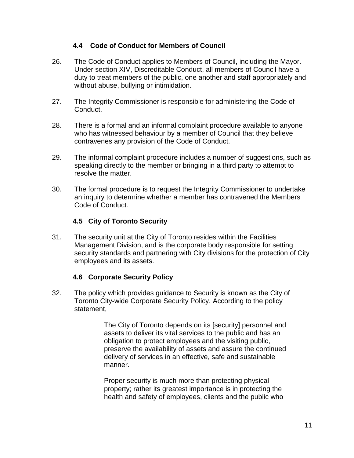#### **4.4 Code of Conduct for Members of Council**

- <span id="page-10-0"></span>26. The Code of Conduct applies to Members of Council, including the Mayor. Under section XIV, Discreditable Conduct, all members of Council have a duty to treat members of the public, one another and staff appropriately and without abuse, bullying or intimidation.
- 27. The Integrity Commissioner is responsible for administering the Code of Conduct.
- 28. There is a formal and an informal complaint procedure available to anyone who has witnessed behaviour by a member of Council that they believe contravenes any provision of the Code of Conduct.
- 29. The informal complaint procedure includes a number of suggestions, such as speaking directly to the member or bringing in a third party to attempt to resolve the matter.
- 30. The formal procedure is to request the Integrity Commissioner to undertake an inquiry to determine whether a member has contravened the Members Code of Conduct*.*

#### **4.5 City of Toronto Security**

<span id="page-10-1"></span>31. The security unit at the City of Toronto resides within the Facilities Management Division, and is the corporate body responsible for setting security standards and partnering with City divisions for the protection of City employees and its assets.

#### **4.6 Corporate Security Policy**

<span id="page-10-2"></span>32. The policy which provides guidance to Security is known as the City of Toronto City-wide Corporate Security Policy. According to the policy statement,

> The City of Toronto depends on its [security] personnel and assets to deliver its vital services to the public and has an obligation to protect employees and the visiting public, preserve the availability of assets and assure the continued delivery of services in an effective, safe and sustainable manner.

Proper security is much more than protecting physical property; rather its greatest importance is in protecting the health and safety of employees, clients and the public who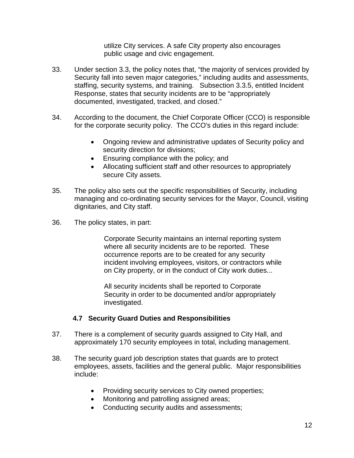utilize City services. A safe City property also encourages public usage and civic engagement.

- 33. Under section 3.3, the policy notes that, "the majority of services provided by Security fall into seven major categories," including audits and assessments, staffing, security systems, and training. Subsection 3.3.5, entitled Incident Response, states that security incidents are to be "appropriately documented, investigated, tracked, and closed."
- 34. According to the document, the Chief Corporate Officer (CCO) is responsible for the corporate security policy. The CCO's duties in this regard include:
	- Ongoing review and administrative updates of Security policy and security direction for divisions;
	- Ensuring compliance with the policy; and
	- Allocating sufficient staff and other resources to appropriately secure City assets.
- 35. The policy also sets out the specific responsibilities of Security, including managing and co-ordinating security services for the Mayor, Council, visiting dignitaries, and City staff.
- 36. The policy states, in part:

Corporate Security maintains an internal reporting system where all security incidents are to be reported. These occurrence reports are to be created for any security incident involving employees, visitors, or contractors while on City property, or in the conduct of City work duties...

All security incidents shall be reported to Corporate Security in order to be documented and/or appropriately investigated.

#### **4.7 Security Guard Duties and Responsibilities**

- <span id="page-11-0"></span>37. There is a complement of security guards assigned to City Hall, and approximately 170 security employees in total, including management.
- 38. The security guard job description states that guards are to protect employees, assets, facilities and the general public. Major responsibilities include:
	- Providing security services to City owned properties;
	- Monitoring and patrolling assigned areas;
	- Conducting security audits and assessments;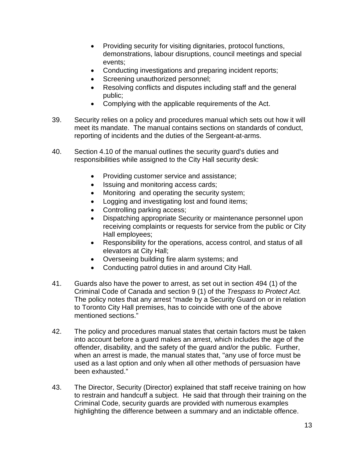- Providing security for visiting dignitaries, protocol functions, demonstrations, labour disruptions, council meetings and special events;
- Conducting investigations and preparing incident reports;
- Screening unauthorized personnel;
- Resolving conflicts and disputes including staff and the general public;
- Complying with the applicable requirements of the Act.
- 39. Security relies on a policy and procedures manual which sets out how it will meet its mandate. The manual contains sections on standards of conduct, reporting of incidents and the duties of the Sergeant-at-arms.
- 40. Section 4.10 of the manual outlines the security guard's duties and responsibilities while assigned to the City Hall security desk:
	- Providing customer service and assistance;
	- Issuing and monitoring access cards;
	- Monitoring and operating the security system;
	- Logging and investigating lost and found items;
	- Controlling parking access;
	- Dispatching appropriate Security or maintenance personnel upon receiving complaints or requests for service from the public or City Hall employees;
	- Responsibility for the operations, access control, and status of all elevators at City Hall;
	- Overseeing building fire alarm systems; and
	- Conducting patrol duties in and around City Hall.
- 41. Guards also have the power to arrest, as set out in section 494 (1) of the Criminal Code of Canada and section 9 (1) of the *Trespass to Protect Act.*  The policy notes that any arrest "made by a Security Guard on or in relation to Toronto City Hall premises, has to coincide with one of the above mentioned sections."
- 42. The policy and procedures manual states that certain factors must be taken into account before a guard makes an arrest, which includes the age of the offender, disability, and the safety of the guard and/or the public. Further, when an arrest is made, the manual states that, "any use of force must be used as a last option and only when all other methods of persuasion have been exhausted."
- 43. The Director, Security (Director) explained that staff receive training on how to restrain and handcuff a subject. He said that through their training on the Criminal Code, security guards are provided with numerous examples highlighting the difference between a summary and an indictable offence.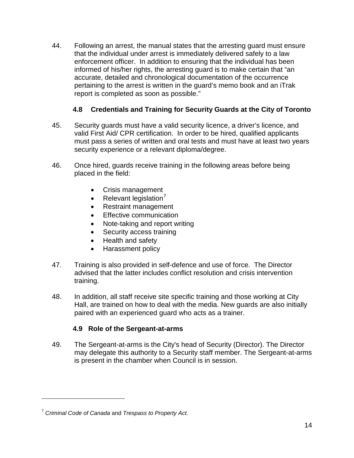44. Following an arrest, the manual states that the arresting guard must ensure that the individual under arrest is immediately delivered safely to a law enforcement officer. In addition to ensuring that the individual has been informed of his/her rights, the arresting guard is to make certain that "an accurate, detailed and chronological documentation of the occurrence pertaining to the arrest is written in the guard's memo book and an iTrak report is completed as soon as possible."

# **4.8 Credentials and Training for Security Guards at the City of Toronto**

- <span id="page-13-0"></span>45. Security guards must have a valid security licence, a driver's licence, and valid First Aid/ CPR certification. In order to be hired, qualified applicants must pass a series of written and oral tests and must have at least two years security experience or a relevant diploma/degree.
- 46. Once hired, guards receive training in the following areas before being placed in the field:
	- Crisis management
	- Relevant legislation $^7$  $^7$
	- Restraint management
	- Effective communication
	- Note-taking and report writing
	- Security access training
	- Health and safety
	- Harassment policy
- 47. Training is also provided in self-defence and use of force. The Director advised that the latter includes conflict resolution and crisis intervention training.
- 48. In addition, all staff receive site specific training and those working at City Hall, are trained on how to deal with the media. New guards are also initially paired with an experienced guard who acts as a trainer.

#### **4.9 Role of the Sergeant-at-arms**

<span id="page-13-1"></span>49. The Sergeant-at-arms is the City's head of Security (Director). The Director may delegate this authority to a Security staff member. The Sergeant-at-arms is present in the chamber when Council is in session.

 $\overline{a}$ 

<span id="page-13-2"></span><sup>7</sup> *Criminal Code of Canada* and *Trespass to Property Act.*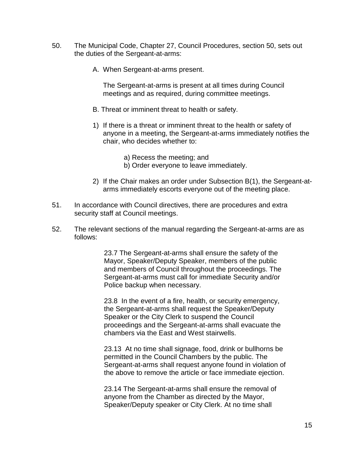- 50. The Municipal Code, Chapter 27, Council Procedures, section 50, sets out the duties of the Sergeant-at-arms:
	- A. When Sergeant-at-arms present.

The Sergeant-at-arms is present at all times during Council meetings and as required, during committee meetings.

- B. Threat or imminent threat to health or safety.
- 1) If there is a threat or imminent threat to the health or safety of anyone in a meeting, the Sergeant-at-arms immediately notifies the chair, who decides whether to:
	- a) Recess the meeting; and
	- b) Order everyone to leave immediately.
- 2) If the Chair makes an order under Subsection B(1), the Sergeant-atarms immediately escorts everyone out of the meeting place.
- 51. In accordance with Council directives, there are procedures and extra security staff at Council meetings.
- 52. The relevant sections of the manual regarding the Sergeant-at-arms are as follows:

23.7 The Sergeant-at-arms shall ensure the safety of the Mayor, Speaker/Deputy Speaker, members of the public and members of Council throughout the proceedings. The Sergeant-at-arms must call for immediate Security and/or Police backup when necessary.

23.8 In the event of a fire, health, or security emergency, the Sergeant-at-arms shall request the Speaker/Deputy Speaker or the City Clerk to suspend the Council proceedings and the Sergeant-at-arms shall evacuate the chambers via the East and West stairwells.

23.13 At no time shall signage, food, drink or bullhorns be permitted in the Council Chambers by the public. The Sergeant-at-arms shall request anyone found in violation of the above to remove the article or face immediate ejection.

23.14 The Sergeant-at-arms shall ensure the removal of anyone from the Chamber as directed by the Mayor, Speaker/Deputy speaker or City Clerk. At no time shall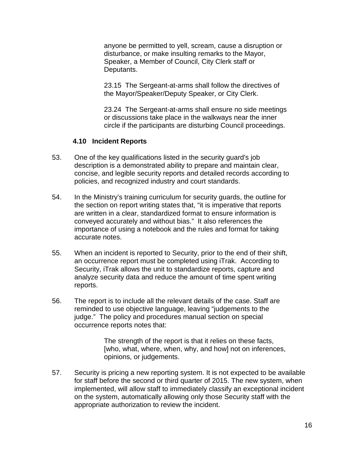anyone be permitted to yell, scream, cause a disruption or disturbance, or make insulting remarks to the Mayor, Speaker, a Member of Council, City Clerk staff or Deputants.

23.15 The Sergeant-at-arms shall follow the directives of the Mayor/Speaker/Deputy Speaker, or City Clerk.

23.24 The Sergeant-at-arms shall ensure no side meetings or discussions take place in the walkways near the inner circle if the participants are disturbing Council proceedings.

#### **4.10 Incident Reports**

- <span id="page-15-0"></span>53. One of the key qualifications listed in the security guard's job description is a demonstrated ability to prepare and maintain clear, concise, and legible security reports and detailed records according to policies, and recognized industry and court standards.
- 54. In the Ministry's training curriculum for security guards, the outline for the section on report writing states that, "it is imperative that reports are written in a clear, standardized format to ensure information is conveyed accurately and without bias." It also references the importance of using a notebook and the rules and format for taking accurate notes.
- 55. When an incident is reported to Security, prior to the end of their shift, an occurrence report must be completed using iTrak. According to Security, iTrak allows the unit to standardize reports, capture and analyze security data and reduce the amount of time spent writing reports.
- 56. The report is to include all the relevant details of the case. Staff are reminded to use objective language, leaving "judgements to the judge." The policy and procedures manual section on special occurrence reports notes that:

The strength of the report is that it relies on these facts, [who, what, where, when, why, and how] not on inferences, opinions, or judgements.

57. Security is pricing a new reporting system. It is not expected to be available for staff before the second or third quarter of 2015. The new system, when implemented, will allow staff to immediately classify an exceptional incident on the system, automatically allowing only those Security staff with the appropriate authorization to review the incident.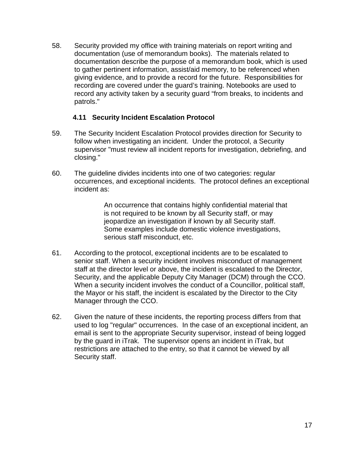58. Security provided my office with training materials on report writing and documentation (use of memorandum books). The materials related to documentation describe the purpose of a memorandum book, which is used to gather pertinent information, assist/aid memory, to be referenced when giving evidence, and to provide a record for the future. Responsibilities for recording are covered under the guard's training. Notebooks are used to record any activity taken by a security guard "from breaks, to incidents and patrols."

#### **4.11 Security Incident Escalation Protocol**

- <span id="page-16-0"></span>59. The Security Incident Escalation Protocol provides direction for Security to follow when investigating an incident. Under the protocol, a Security supervisor "must review all incident reports for investigation, debriefing, and closing."
- 60. The guideline divides incidents into one of two categories: regular occurrences, and exceptional incidents. The protocol defines an exceptional incident as:

An occurrence that contains highly confidential material that is not required to be known by all Security staff, or may jeopardize an investigation if known by all Security staff. Some examples include domestic violence investigations, serious staff misconduct, etc.

- 61. According to the protocol, exceptional incidents are to be escalated to senior staff. When a security incident involves misconduct of management staff at the director level or above, the incident is escalated to the Director, Security, and the applicable Deputy City Manager (DCM) through the CCO. When a security incident involves the conduct of a Councillor, political staff, the Mayor or his staff, the incident is escalated by the Director to the City Manager through the CCO.
- 62. Given the nature of these incidents, the reporting process differs from that used to log "regular" occurrences. In the case of an exceptional incident, an email is sent to the appropriate Security supervisor, instead of being logged by the guard in iTrak. The supervisor opens an incident in iTrak, but restrictions are attached to the entry, so that it cannot be viewed by all Security staff.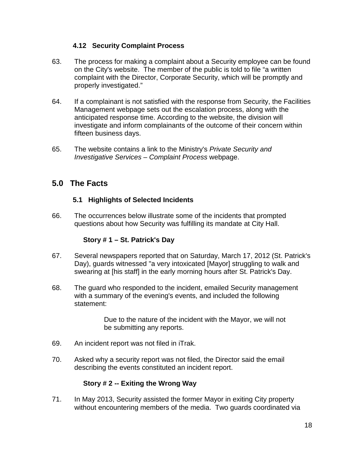#### **4.12 Security Complaint Process**

- <span id="page-17-0"></span>63. The process for making a complaint about a Security employee can be found on the City's website. The member of the public is told to file "a written complaint with the Director, Corporate Security, which will be promptly and properly investigated."
- 64. If a complainant is not satisfied with the response from Security, the Facilities Management webpage sets out the escalation process, along with the anticipated response time. According to the website, the division will investigate and inform complainants of the outcome of their concern within fifteen business days.
- 65. The website contains a link to the Ministry's *Private Security and Investigative Services – Complaint Process* webpage.

# <span id="page-17-1"></span>**5.0 The Facts**

### **5.1 Highlights of Selected Incidents**

<span id="page-17-2"></span>66. The occurrences below illustrate some of the incidents that prompted questions about how Security was fulfilling its mandate at City Hall.

#### **Story # 1 – St. Patrick's Day**

- <span id="page-17-3"></span>67. Several newspapers reported that on Saturday, March 17, 2012 (St. Patrick's Day), guards witnessed "a very intoxicated [Mayor] struggling to walk and swearing at [his staff] in the early morning hours after St. Patrick's Day.
- 68. The guard who responded to the incident, emailed Security management with a summary of the evening's events, and included the following statement:

Due to the nature of the incident with the Mayor, we will not be submitting any reports.

- 69. An incident report was not filed in iTrak.
- 70. Asked why a security report was not filed, the Director said the email describing the events constituted an incident report.

#### **Story # 2 -- Exiting the Wrong Way**

<span id="page-17-4"></span>71. In May 2013, Security assisted the former Mayor in exiting City property without encountering members of the media. Two guards coordinated via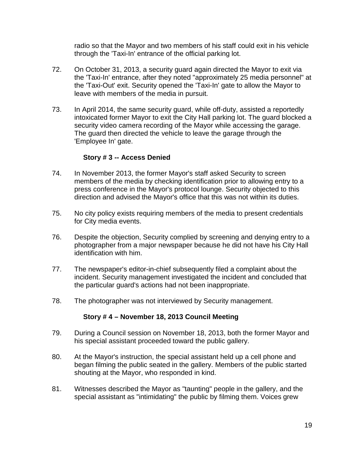radio so that the Mayor and two members of his staff could exit in his vehicle through the 'Taxi-In' entrance of the official parking lot.

- 72. On October 31, 2013, a security guard again directed the Mayor to exit via the 'Taxi-In' entrance, after they noted "approximately 25 media personnel" at the 'Taxi-Out' exit. Security opened the 'Taxi-In' gate to allow the Mayor to leave with members of the media in pursuit.
- 73. In April 2014, the same security guard, while off-duty, assisted a reportedly intoxicated former Mayor to exit the City Hall parking lot. The guard blocked a security video camera recording of the Mayor while accessing the garage. The guard then directed the vehicle to leave the garage through the 'Employee In' gate.

#### **Story # 3 -- Access Denied**

- <span id="page-18-0"></span>74. In November 2013, the former Mayor's staff asked Security to screen members of the media by checking identification prior to allowing entry to a press conference in the Mayor's protocol lounge. Security objected to this direction and advised the Mayor's office that this was not within its duties.
- 75. No city policy exists requiring members of the media to present credentials for City media events.
- 76. Despite the objection, Security complied by screening and denying entry to a photographer from a major newspaper because he did not have his City Hall identification with him.
- 77. The newspaper's editor-in-chief subsequently filed a complaint about the incident. Security management investigated the incident and concluded that the particular guard's actions had not been inappropriate.
- <span id="page-18-1"></span>78. The photographer was not interviewed by Security management.

#### **Story # 4 – November 18, 2013 Council Meeting**

- 79. During a Council session on November 18, 2013, both the former Mayor and his special assistant proceeded toward the public gallery.
- 80. At the Mayor's instruction, the special assistant held up a cell phone and began filming the public seated in the gallery. Members of the public started shouting at the Mayor, who responded in kind.
- 81. Witnesses described the Mayor as "taunting" people in the gallery, and the special assistant as "intimidating" the public by filming them. Voices grew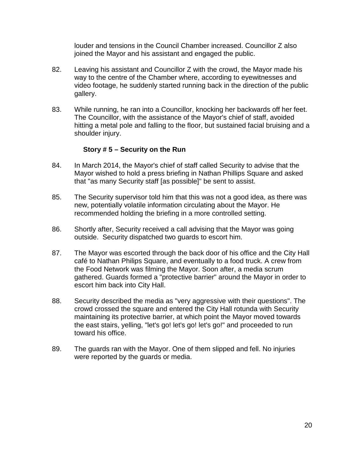louder and tensions in the Council Chamber increased. Councillor Z also joined the Mayor and his assistant and engaged the public.

- 82. Leaving his assistant and Councillor Z with the crowd, the Mayor made his way to the centre of the Chamber where, according to eyewitnesses and video footage, he suddenly started running back in the direction of the public gallery.
- 83. While running, he ran into a Councillor, knocking her backwards off her feet. The Councillor, with the assistance of the Mayor's chief of staff, avoided hitting a metal pole and falling to the floor, but sustained facial bruising and a shoulder injury.

#### **Story # 5 – Security on the Run**

- <span id="page-19-0"></span>84. In March 2014, the Mayor's chief of staff called Security to advise that the Mayor wished to hold a press briefing in Nathan Phillips Square and asked that "as many Security staff [as possible]" be sent to assist.
- 85. The Security supervisor told him that this was not a good idea, as there was new, potentially volatile information circulating about the Mayor. He recommended holding the briefing in a more controlled setting.
- 86. Shortly after, Security received a call advising that the Mayor was going outside. Security dispatched two guards to escort him.
- 87. The Mayor was escorted through the back door of his office and the City Hall café to Nathan Philips Square, and eventually to a food truck. A crew from the Food Network was filming the Mayor. Soon after, a media scrum gathered. Guards formed a "protective barrier" around the Mayor in order to escort him back into City Hall.
- 88. Security described the media as "very aggressive with their questions". The crowd crossed the square and entered the City Hall rotunda with Security maintaining its protective barrier, at which point the Mayor moved towards the east stairs, yelling, "let's go! let's go! let's go!" and proceeded to run toward his office.
- 89. The guards ran with the Mayor. One of them slipped and fell. No injuries were reported by the guards or media.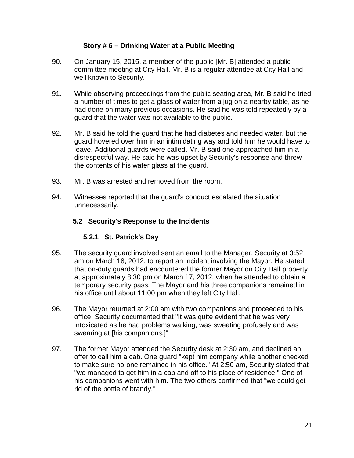#### **Story # 6 – Drinking Water at a Public Meeting**

- <span id="page-20-0"></span>90. On January 15, 2015, a member of the public [Mr. B] attended a public committee meeting at City Hall. Mr. B is a regular attendee at City Hall and well known to Security.
- 91. While observing proceedings from the public seating area, Mr. B said he tried a number of times to get a glass of water from a jug on a nearby table, as he had done on many previous occasions. He said he was told repeatedly by a guard that the water was not available to the public.
- 92. Mr. B said he told the guard that he had diabetes and needed water, but the guard hovered over him in an intimidating way and told him he would have to leave. Additional guards were called. Mr. B said one approached him in a disrespectful way. He said he was upset by Security's response and threw the contents of his water glass at the guard.
- 93. Mr. B was arrested and removed from the room.
- <span id="page-20-1"></span>94. Witnesses reported that the guard's conduct escalated the situation unnecessarily.

#### **5.2 Security's Response to the Incidents**

#### **5.2.1 St. Patrick's Day**

- <span id="page-20-2"></span>95. The security guard involved sent an email to the Manager, Security at 3:52 am on March 18, 2012, to report an incident involving the Mayor. He stated that on-duty guards had encountered the former Mayor on City Hall property at approximately 8:30 pm on March 17, 2012, when he attended to obtain a temporary security pass. The Mayor and his three companions remained in his office until about 11:00 pm when they left City Hall.
- 96. The Mayor returned at 2:00 am with two companions and proceeded to his office. Security documented that "It was quite evident that he was very intoxicated as he had problems walking, was sweating profusely and was swearing at [his companions.]"
- 97. The former Mayor attended the Security desk at 2:30 am, and declined an offer to call him a cab. One guard "kept him company while another checked to make sure no-one remained in his office." At 2:50 am, Security stated that "we managed to get him in a cab and off to his place of residence." One of his companions went with him. The two others confirmed that "we could get rid of the bottle of brandy."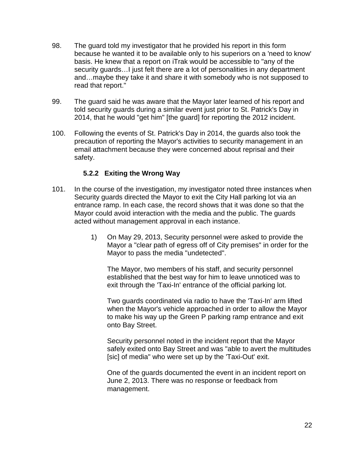- 98. The guard told my investigator that he provided his report in this form because he wanted it to be available only to his superiors on a 'need to know' basis. He knew that a report on iTrak would be accessible to "any of the security guards…I just felt there are a lot of personalities in any department and…maybe they take it and share it with somebody who is not supposed to read that report."
- 99. The guard said he was aware that the Mayor later learned of his report and told security guards during a similar event just prior to St. Patrick's Day in 2014, that he would "get him" [the guard] for reporting the 2012 incident.
- 100. Following the events of St. Patrick's Day in 2014, the guards also took the precaution of reporting the Mayor's activities to security management in an email attachment because they were concerned about reprisal and their safety.

#### **5.2.2 Exiting the Wrong Way**

- <span id="page-21-0"></span>101. In the course of the investigation, my investigator noted three instances when Security guards directed the Mayor to exit the City Hall parking lot via an entrance ramp. In each case, the record shows that it was done so that the Mayor could avoid interaction with the media and the public. The guards acted without management approval in each instance.
	- 1) On May 29, 2013, Security personnel were asked to provide the Mayor a "clear path of egress off of City premises" in order for the Mayor to pass the media "undetected".

The Mayor, two members of his staff, and security personnel established that the best way for him to leave unnoticed was to exit through the 'Taxi-In' entrance of the official parking lot.

Two guards coordinated via radio to have the 'Taxi-In' arm lifted when the Mayor's vehicle approached in order to allow the Mayor to make his way up the Green P parking ramp entrance and exit onto Bay Street.

Security personnel noted in the incident report that the Mayor safely exited onto Bay Street and was "able to avert the multitudes [sic] of media" who were set up by the 'Taxi-Out' exit.

One of the guards documented the event in an incident report on June 2, 2013. There was no response or feedback from management.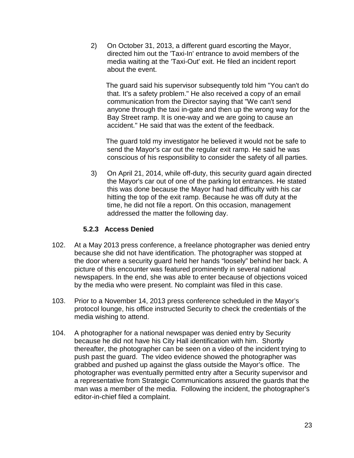2) On October 31, 2013, a different guard escorting the Mayor, directed him out the 'Taxi-In' entrance to avoid members of the media waiting at the 'Taxi-Out' exit. He filed an incident report about the event.

The guard said his supervisor subsequently told him "You can't do that. It's a safety problem." He also received a copy of an email communication from the Director saying that "We can't send anyone through the taxi in-gate and then up the wrong way for the Bay Street ramp. It is one-way and we are going to cause an accident." He said that was the extent of the feedback.

The guard told my investigator he believed it would not be safe to send the Mayor's car out the regular exit ramp. He said he was conscious of his responsibility to consider the safety of all parties.

3) On April 21, 2014, while off-duty, this security guard again directed the Mayor's car out of one of the parking lot entrances. He stated this was done because the Mayor had had difficulty with his car hitting the top of the exit ramp. Because he was off duty at the time, he did not file a report. On this occasion, management addressed the matter the following day.

#### **5.2.3 Access Denied**

- <span id="page-22-0"></span>102. At a May 2013 press conference, a freelance photographer was denied entry because she did not have identification. The photographer was stopped at the door where a security guard held her hands "loosely" behind her back. A picture of this encounter was featured prominently in several national newspapers. In the end, she was able to enter because of objections voiced by the media who were present. No complaint was filed in this case.
- 103. Prior to a November 14, 2013 press conference scheduled in the Mayor's protocol lounge, his office instructed Security to check the credentials of the media wishing to attend.
- 104. A photographer for a national newspaper was denied entry by Security because he did not have his City Hall identification with him. Shortly thereafter, the photographer can be seen on a video of the incident trying to push past the guard. The video evidence showed the photographer was grabbed and pushed up against the glass outside the Mayor's office. The photographer was eventually permitted entry after a Security supervisor and a representative from Strategic Communications assured the guards that the man was a member of the media. Following the incident, the photographer's editor-in-chief filed a complaint.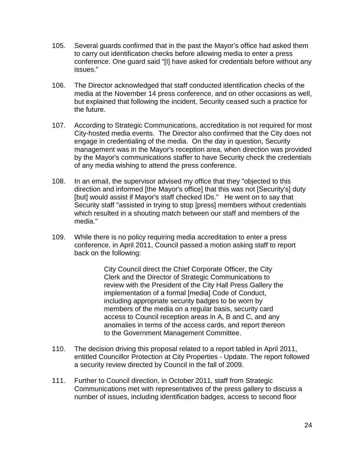- 105. Several guards confirmed that in the past the Mayor's office had asked them to carry out identification checks before allowing media to enter a press conference. One guard said "[I] have asked for credentials before without any issues."
- 106. The Director acknowledged that staff conducted identification checks of the media at the November 14 press conference, and on other occasions as well, but explained that following the incident, Security ceased such a practice for the future.
- 107. According to Strategic Communications, accreditation is not required for most City-hosted media events. The Director also confirmed that the City does not engage in credentialing of the media. On the day in question, Security management was in the Mayor's reception area, when direction was provided by the Mayor's communications staffer to have Security check the credentials of any media wishing to attend the press conference.
- 108. In an email, the supervisor advised my office that they "objected to this direction and informed [the Mayor's office] that this was not [Security's] duty [but] would assist if Mayor's staff checked IDs." He went on to say that Security staff "assisted in trying to stop [press] members without credentials which resulted in a shouting match between our staff and members of the media."
- 109. While there is no policy requiring media accreditation to enter a press conference, in April 2011, Council passed a motion asking staff to report back on the following:

City Council direct the Chief Corporate Officer, the City Clerk and the Director of Strategic Communications to review with the President of the City Hall Press Gallery the implementation of a formal [media] Code of Conduct, including appropriate security badges to be worn by members of the media on a regular basis, security card access to Council reception areas in A, B and C, and any anomalies in terms of the access cards, and report thereon to the Government Management Committee.

- 110. The decision driving this proposal related to a report tabled in April 2011, entitled Councillor Protection at City Properties - Update. The report followed a security review directed by Council in the fall of 2009.
- 111. Further to Council direction, in October 2011, staff from Strategic Communications met with representatives of the press gallery to discuss a number of issues, including identification badges, access to second floor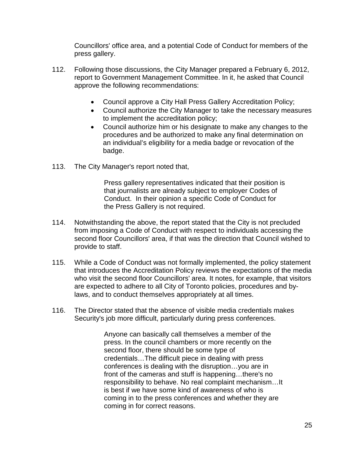Councillors' office area, and a potential Code of Conduct for members of the press gallery.

- 112. Following those discussions, the City Manager prepared a February 6, 2012, report to Government Management Committee. In it, he asked that Council approve the following recommendations:
	- Council approve a City Hall Press Gallery Accreditation Policy;
	- Council authorize the City Manager to take the necessary measures to implement the accreditation policy;
	- Council authorize him or his designate to make any changes to the procedures and be authorized to make any final determination on an individual's eligibility for a media badge or revocation of the badge.
- 113. The City Manager's report noted that,

Press gallery representatives indicated that their position is that journalists are already subject to employer Codes of Conduct. In their opinion a specific Code of Conduct for the Press Gallery is not required.

- 114. Notwithstanding the above, the report stated that the City is not precluded from imposing a Code of Conduct with respect to individuals accessing the second floor Councillors' area, if that was the direction that Council wished to provide to staff.
- 115. While a Code of Conduct was not formally implemented, the policy statement that introduces the Accreditation Policy reviews the expectations of the media who visit the second floor Councillors' area. It notes, for example, that visitors are expected to adhere to all City of Toronto policies, procedures and bylaws, and to conduct themselves appropriately at all times.
- 116. The Director stated that the absence of visible media credentials makes Security's job more difficult, particularly during press conferences.

Anyone can basically call themselves a member of the press. In the council chambers or more recently on the second floor, there should be some type of credentials…The difficult piece in dealing with press conferences is dealing with the disruption…you are in front of the cameras and stuff is happening…there's no responsibility to behave. No real complaint mechanism…It is best if we have some kind of awareness of who is coming in to the press conferences and whether they are coming in for correct reasons.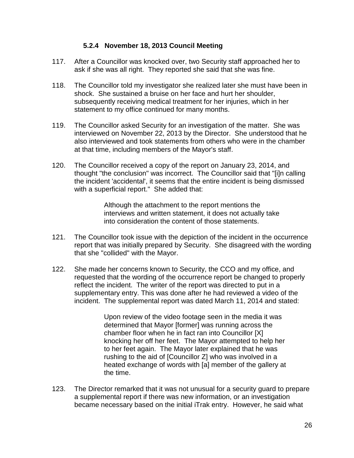#### **5.2.4 November 18, 2013 Council Meeting**

- <span id="page-25-0"></span>117. After a Councillor was knocked over, two Security staff approached her to ask if she was all right. They reported she said that she was fine.
- 118. The Councillor told my investigator she realized later she must have been in shock. She sustained a bruise on her face and hurt her shoulder, subsequently receiving medical treatment for her injuries, which in her statement to my office continued for many months.
- 119. The Councillor asked Security for an investigation of the matter. She was interviewed on November 22, 2013 by the Director. She understood that he also interviewed and took statements from others who were in the chamber at that time, including members of the Mayor's staff.
- 120. The Councillor received a copy of the report on January 23, 2014, and thought "the conclusion" was incorrect. The Councillor said that "[i]n calling the incident 'accidental', it seems that the entire incident is being dismissed with a superficial report." She added that:

Although the attachment to the report mentions the interviews and written statement, it does not actually take into consideration the content of those statements.

- 121. The Councillor took issue with the depiction of the incident in the occurrence report that was initially prepared by Security. She disagreed with the wording that she "collided" with the Mayor.
- 122. She made her concerns known to Security, the CCO and my office, and requested that the wording of the occurrence report be changed to properly reflect the incident. The writer of the report was directed to put in a supplementary entry. This was done after he had reviewed a video of the incident. The supplemental report was dated March 11, 2014 and stated:

Upon review of the video footage seen in the media it was determined that Mayor [former] was running across the chamber floor when he in fact ran into Councillor [X] knocking her off her feet. The Mayor attempted to help her to her feet again. The Mayor later explained that he was rushing to the aid of [Councillor Z] who was involved in a heated exchange of words with [a] member of the gallery at the time.

123. The Director remarked that it was not unusual for a security guard to prepare a supplemental report if there was new information, or an investigation became necessary based on the initial iTrak entry. However, he said what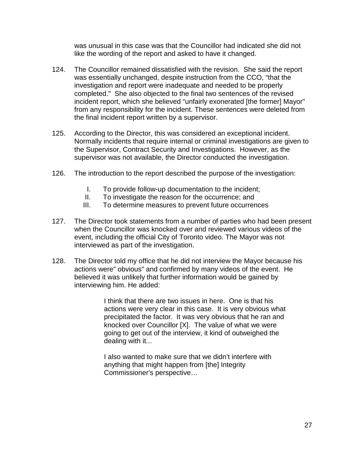was unusual in this case was that the Councillor had indicated she did not like the wording of the report and asked to have it changed.

- 124. The Councillor remained dissatisfied with the revision. She said the report was essentially unchanged, despite instruction from the CCO, "that the investigation and report were inadequate and needed to be properly completed." She also objected to the final two sentences of the revised incident report, which she believed "unfairly exonerated [the former] Mayor" from any responsibility for the incident. These sentences were deleted from the final incident report written by a supervisor.
- 125. According to the Director, this was considered an exceptional incident. Normally incidents that require internal or criminal investigations are given to the Supervisor, Contract Security and Investigations. However, as the supervisor was not available, the Director conducted the investigation.
- 126. The introduction to the report described the purpose of the investigation:
	- I. To provide follow-up documentation to the incident;
	- II. To investigate the reason for the occurrence; and
	- III. To determine measures to prevent future occurrences
- 127. The Director took statements from a number of parties who had been present when the Councillor was knocked over and reviewed various videos of the event, including the official City of Toronto video. The Mayor was not interviewed as part of the investigation.
- 128. The Director told my office that he did not interview the Mayor because his actions were" obvious" and confirmed by many videos of the event. He believed it was unlikely that further information would be gained by interviewing him. He added:

I think that there are two issues in here. One is that his actions were very clear in this case. It is very obvious what precipitated the factor. It was very obvious that he ran and knocked over Councillor [X]. The value of what we were going to get out of the interview, it kind of outweighed the dealing with it...

I also wanted to make sure that we didn't interfere with anything that might happen from [the] Integrity Commissioner's perspective…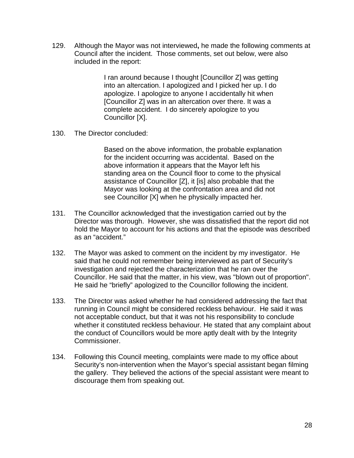129. Although the Mayor was not interviewed**,** he made the following comments at Council after the incident. Those comments, set out below, were also included in the report:

> I ran around because I thought [Councillor Z] was getting into an altercation. I apologized and I picked her up. I do apologize. I apologize to anyone I accidentally hit when [Councillor Z] was in an altercation over there. It was a complete accident. I do sincerely apologize to you Councillor [X].

130. The Director concluded:

Based on the above information, the probable explanation for the incident occurring was accidental. Based on the above information it appears that the Mayor left his standing area on the Council floor to come to the physical assistance of Councillor [Z], it [is] also probable that the Mayor was looking at the confrontation area and did not see Councillor [X] when he physically impacted her.

- 131. The Councillor acknowledged that the investigation carried out by the Director was thorough. However, she was dissatisfied that the report did not hold the Mayor to account for his actions and that the episode was described as an "accident."
- 132. The Mayor was asked to comment on the incident by my investigator. He said that he could not remember being interviewed as part of Security's investigation and rejected the characterization that he ran over the Councillor. He said that the matter, in his view, was "blown out of proportion". He said he "briefly" apologized to the Councillor following the incident.
- 133. The Director was asked whether he had considered addressing the fact that running in Council might be considered reckless behaviour. He said it was not acceptable conduct, but that it was not his responsibility to conclude whether it constituted reckless behaviour. He stated that any complaint about the conduct of Councillors would be more aptly dealt with by the Integrity Commissioner.
- 134. Following this Council meeting, complaints were made to my office about Security's non-intervention when the Mayor's special assistant began filming the gallery. They believed the actions of the special assistant were meant to discourage them from speaking out.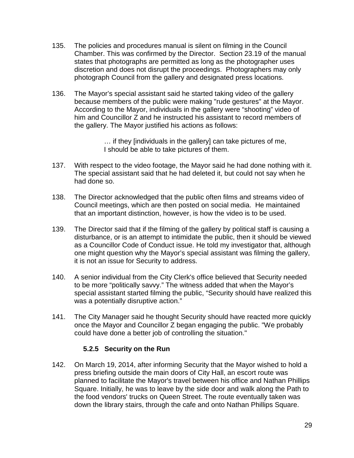- 135. The policies and procedures manual is silent on filming in the Council Chamber. This was confirmed by the Director. Section 23.19 of the manual states that photographs are permitted as long as the photographer uses discretion and does not disrupt the proceedings. Photographers may only photograph Council from the gallery and designated press locations.
- 136. The Mayor's special assistant said he started taking video of the gallery because members of the public were making "rude gestures" at the Mayor. According to the Mayor, individuals in the gallery were "shooting" video of him and Councillor Z and he instructed his assistant to record members of the gallery. The Mayor justified his actions as follows:

… if they [individuals in the gallery] can take pictures of me, I should be able to take pictures of them.

- 137. With respect to the video footage, the Mayor said he had done nothing with it. The special assistant said that he had deleted it, but could not say when he had done so.
- 138. The Director acknowledged that the public often films and streams video of Council meetings, which are then posted on social media. He maintained that an important distinction, however, is how the video is to be used.
- 139. The Director said that if the filming of the gallery by political staff is causing a disturbance, or is an attempt to intimidate the public, then it should be viewed as a Councillor Code of Conduct issue. He told my investigator that, although one might question why the Mayor's special assistant was filming the gallery, it is not an issue for Security to address.
- 140. A senior individual from the City Clerk's office believed that Security needed to be more "politically savvy." The witness added that when the Mayor's special assistant started filming the public, "Security should have realized this was a potentially disruptive action."
- 141. The City Manager said he thought Security should have reacted more quickly once the Mayor and Councillor Z began engaging the public. "We probably could have done a better job of controlling the situation."

#### **5.2.5 Security on the Run**

<span id="page-28-0"></span>142. On March 19, 2014, after informing Security that the Mayor wished to hold a press briefing outside the main doors of City Hall, an escort route was planned to facilitate the Mayor's travel between his office and Nathan Phillips Square. Initially, he was to leave by the side door and walk along the Path to the food vendors' trucks on Queen Street. The route eventually taken was down the library stairs, through the cafe and onto Nathan Phillips Square.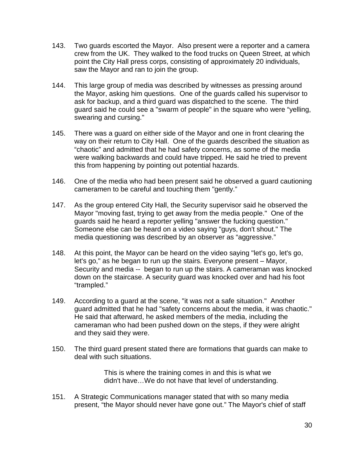- 143. Two guards escorted the Mayor. Also present were a reporter and a camera crew from the UK. They walked to the food trucks on Queen Street, at which point the City Hall press corps, consisting of approximately 20 individuals, saw the Mayor and ran to join the group.
- 144. This large group of media was described by witnesses as pressing around the Mayor, asking him questions. One of the guards called his supervisor to ask for backup, and a third guard was dispatched to the scene. The third guard said he could see a "swarm of people" in the square who were "yelling, swearing and cursing."
- 145. There was a guard on either side of the Mayor and one in front clearing the way on their return to City Hall. One of the guards described the situation as "chaotic" and admitted that he had safety concerns, as some of the media were walking backwards and could have tripped. He said he tried to prevent this from happening by pointing out potential hazards.
- 146. One of the media who had been present said he observed a guard cautioning cameramen to be careful and touching them "gently."
- 147. As the group entered City Hall, the Security supervisor said he observed the Mayor "moving fast, trying to get away from the media people." One of the guards said he heard a reporter yelling "answer the fucking question." Someone else can be heard on a video saying "guys, don't shout." The media questioning was described by an observer as "aggressive."
- 148. At this point, the Mayor can be heard on the video saying "let's go, let's go, let's go," as he began to run up the stairs. Everyone present – Mayor, Security and media -- began to run up the stairs. A cameraman was knocked down on the staircase. A security guard was knocked over and had his foot "trampled."
- 149. According to a guard at the scene, "it was not a safe situation." Another guard admitted that he had "safety concerns about the media, it was chaotic." He said that afterward, he asked members of the media, including the cameraman who had been pushed down on the steps, if they were alright and they said they were.
- 150. The third guard present stated there are formations that guards can make to deal with such situations.

This is where the training comes in and this is what we didn't have…We do not have that level of understanding.

151. A Strategic Communications manager stated that with so many media present, "the Mayor should never have gone out." The Mayor's chief of staff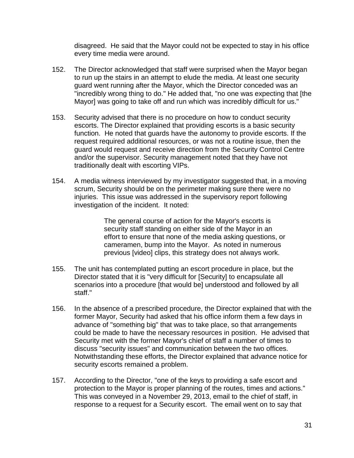disagreed. He said that the Mayor could not be expected to stay in his office every time media were around.

- 152. The Director acknowledged that staff were surprised when the Mayor began to run up the stairs in an attempt to elude the media. At least one security guard went running after the Mayor, which the Director conceded was an "incredibly wrong thing to do." He added that, "no one was expecting that [the Mayor] was going to take off and run which was incredibly difficult for us."
- 153. Security advised that there is no procedure on how to conduct security escorts. The Director explained that providing escorts is a basic security function. He noted that guards have the autonomy to provide escorts. If the request required additional resources, or was not a routine issue, then the guard would request and receive direction from the Security Control Centre and/or the supervisor. Security management noted that they have not traditionally dealt with escorting VIPs.
- 154. A media witness interviewed by my investigator suggested that, in a moving scrum, Security should be on the perimeter making sure there were no injuries. This issue was addressed in the supervisory report following investigation of the incident. It noted:

The general course of action for the Mayor's escorts is security staff standing on either side of the Mayor in an effort to ensure that none of the media asking questions, or cameramen, bump into the Mayor. As noted in numerous previous [video] clips, this strategy does not always work.

- 155. The unit has contemplated putting an escort procedure in place, but the Director stated that it is "very difficult for [Security] to encapsulate all scenarios into a procedure [that would be] understood and followed by all staff."
- 156. In the absence of a prescribed procedure, the Director explained that with the former Mayor, Security had asked that his office inform them a few days in advance of "something big" that was to take place, so that arrangements could be made to have the necessary resources in position. He advised that Security met with the former Mayor's chief of staff a number of times to discuss "security issues" and communication between the two offices. Notwithstanding these efforts, the Director explained that advance notice for security escorts remained a problem.
- 157. According to the Director, "one of the keys to providing a safe escort and protection to the Mayor is proper planning of the routes, times and actions." This was conveyed in a November 29, 2013, email to the chief of staff, in response to a request for a Security escort. The email went on to say that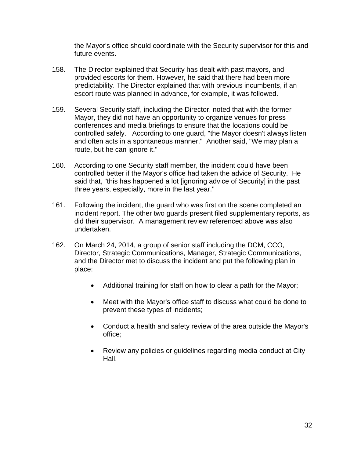the Mayor's office should coordinate with the Security supervisor for this and future events.

- 158. The Director explained that Security has dealt with past mayors, and provided escorts for them. However, he said that there had been more predictability. The Director explained that with previous incumbents, if an escort route was planned in advance, for example, it was followed.
- 159. Several Security staff, including the Director, noted that with the former Mayor, they did not have an opportunity to organize venues for press conferences and media briefings to ensure that the locations could be controlled safely. According to one guard, "the Mayor doesn't always listen and often acts in a spontaneous manner." Another said, "We may plan a route, but he can ignore it."
- 160. According to one Security staff member, the incident could have been controlled better if the Mayor's office had taken the advice of Security. He said that, "this has happened a lot [ignoring advice of Security] in the past three years, especially, more in the last year."
- 161. Following the incident, the guard who was first on the scene completed an incident report. The other two guards present filed supplementary reports, as did their supervisor. A management review referenced above was also undertaken.
- 162. On March 24, 2014, a group of senior staff including the DCM, CCO, Director, Strategic Communications, Manager, Strategic Communications, and the Director met to discuss the incident and put the following plan in place:
	- Additional training for staff on how to clear a path for the Mayor;
	- Meet with the Mayor's office staff to discuss what could be done to prevent these types of incidents;
	- Conduct a health and safety review of the area outside the Mayor's office;
	- Review any policies or guidelines regarding media conduct at City Hall.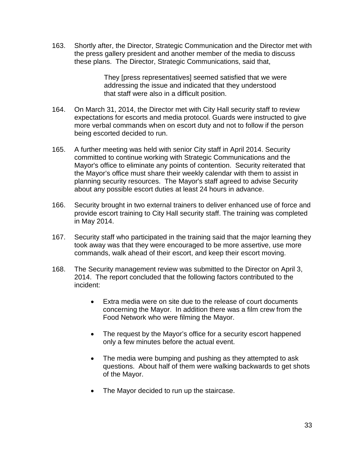163. Shortly after, the Director, Strategic Communication and the Director met with the press gallery president and another member of the media to discuss these plans. The Director, Strategic Communications, said that,

> They [press representatives] seemed satisfied that we were addressing the issue and indicated that they understood that staff were also in a difficult position.

- 164. On March 31, 2014, the Director met with City Hall security staff to review expectations for escorts and media protocol. Guards were instructed to give more verbal commands when on escort duty and not to follow if the person being escorted decided to run.
- 165. A further meeting was held with senior City staff in April 2014. Security committed to continue working with Strategic Communications and the Mayor's office to eliminate any points of contention. Security reiterated that the Mayor's office must share their weekly calendar with them to assist in planning security resources. The Mayor's staff agreed to advise Security about any possible escort duties at least 24 hours in advance.
- 166. Security brought in two external trainers to deliver enhanced use of force and provide escort training to City Hall security staff. The training was completed in May 2014.
- 167. Security staff who participated in the training said that the major learning they took away was that they were encouraged to be more assertive, use more commands, walk ahead of their escort, and keep their escort moving.
- 168. The Security management review was submitted to the Director on April 3, 2014. The report concluded that the following factors contributed to the incident:
	- Extra media were on site due to the release of court documents concerning the Mayor. In addition there was a film crew from the Food Network who were filming the Mayor.
	- The request by the Mayor's office for a security escort happened only a few minutes before the actual event.
	- The media were bumping and pushing as they attempted to ask questions. About half of them were walking backwards to get shots of the Mayor.
	- The Mayor decided to run up the staircase.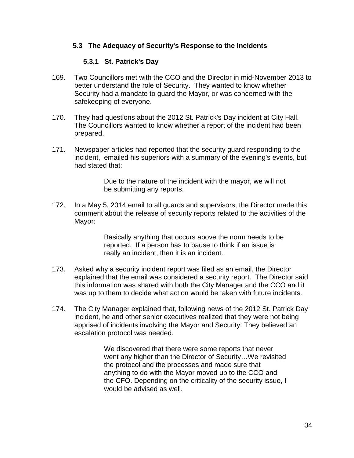#### <span id="page-33-0"></span>**5.3 The Adequacy of Security's Response to the Incidents**

#### **5.3.1 St. Patrick's Day**

- <span id="page-33-1"></span>169. Two Councillors met with the CCO and the Director in mid-November 2013 to better understand the role of Security. They wanted to know whether Security had a mandate to guard the Mayor, or was concerned with the safekeeping of everyone.
- 170. They had questions about the 2012 St. Patrick's Day incident at City Hall. The Councillors wanted to know whether a report of the incident had been prepared.
- 171. Newspaper articles had reported that the security guard responding to the incident, emailed his superiors with a summary of the evening's events, but had stated that:

Due to the nature of the incident with the mayor, we will not be submitting any reports.

172. In a May 5, 2014 email to all guards and supervisors, the Director made this comment about the release of security reports related to the activities of the Mayor:

> Basically anything that occurs above the norm needs to be reported. If a person has to pause to think if an issue is really an incident, then it is an incident.

- 173. Asked why a security incident report was filed as an email, the Director explained that the email was considered a security report. The Director said this information was shared with both the City Manager and the CCO and it was up to them to decide what action would be taken with future incidents.
- 174. The City Manager explained that, following news of the 2012 St. Patrick Day incident, he and other senior executives realized that they were not being apprised of incidents involving the Mayor and Security. They believed an escalation protocol was needed.

We discovered that there were some reports that never went any higher than the Director of Security…We revisited the protocol and the processes and made sure that anything to do with the Mayor moved up to the CCO and the CFO. Depending on the criticality of the security issue, I would be advised as well.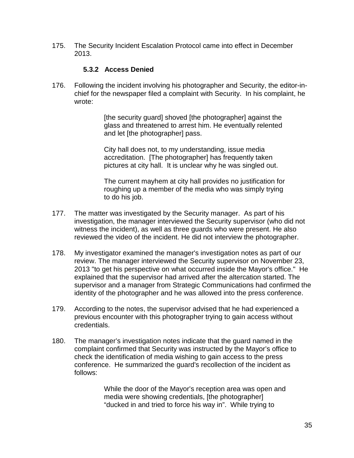175. The Security Incident Escalation Protocol came into effect in December 2013.

#### **5.3.2 Access Denied**

<span id="page-34-0"></span>176. Following the incident involving his photographer and Security, the editor-inchief for the newspaper filed a complaint with Security. In his complaint, he wrote:

> [the security guard] shoved [the photographer] against the glass and threatened to arrest him. He eventually relented and let [the photographer] pass.

City hall does not, to my understanding, issue media accreditation. [The photographer] has frequently taken pictures at city hall. It is unclear why he was singled out.

The current mayhem at city hall provides no justification for roughing up a member of the media who was simply trying to do his job.

- 177. The matter was investigated by the Security manager. As part of his investigation, the manager interviewed the Security supervisor (who did not witness the incident), as well as three guards who were present. He also reviewed the video of the incident. He did not interview the photographer.
- 178. My investigator examined the manager's investigation notes as part of our review. The manager interviewed the Security supervisor on November 23, 2013 "to get his perspective on what occurred inside the Mayor's office." He explained that the supervisor had arrived after the altercation started. The supervisor and a manager from Strategic Communications had confirmed the identity of the photographer and he was allowed into the press conference.
- 179. According to the notes, the supervisor advised that he had experienced a previous encounter with this photographer trying to gain access without credentials.
- 180. The manager's investigation notes indicate that the guard named in the complaint confirmed that Security was instructed by the Mayor's office to check the identification of media wishing to gain access to the press conference. He summarized the guard's recollection of the incident as follows:

While the door of the Mayor's reception area was open and media were showing credentials, [the photographer] "ducked in and tried to force his way in". While trying to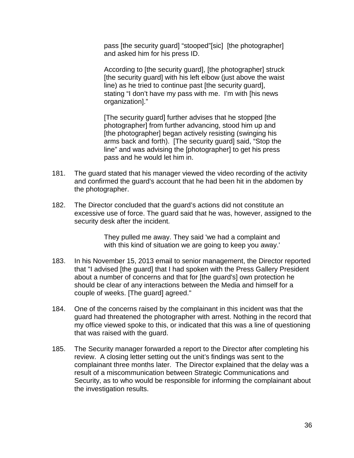pass [the security guard] "stooped"[sic] [the photographer] and asked him for his press ID.

According to [the security guard], [the photographer] struck [the security guard] with his left elbow (just above the waist line) as he tried to continue past [the security guard], stating "I don't have my pass with me. I'm with [his news organization]."

[The security guard] further advises that he stopped [the photographer] from further advancing, stood him up and [the photographer] began actively resisting (swinging his arms back and forth). [The security guard] said, "Stop the line" and was advising the [photographer] to get his press pass and he would let him in.

- 181. The guard stated that his manager viewed the video recording of the activity and confirmed the guard's account that he had been hit in the abdomen by the photographer.
- 182. The Director concluded that the guard's actions did not constitute an excessive use of force. The guard said that he was, however, assigned to the security desk after the incident.

They pulled me away. They said 'we had a complaint and with this kind of situation we are going to keep you away.'

- 183. In his November 15, 2013 email to senior management, the Director reported that "I advised [the guard] that I had spoken with the Press Gallery President about a number of concerns and that for [the guard's] own protection he should be clear of any interactions between the Media and himself for a couple of weeks. [The guard] agreed."
- 184. One of the concerns raised by the complainant in this incident was that the guard had threatened the photographer with arrest. Nothing in the record that my office viewed spoke to this, or indicated that this was a line of questioning that was raised with the guard.
- 185. The Security manager forwarded a report to the Director after completing his review. A closing letter setting out the unit's findings was sent to the complainant three months later. The Director explained that the delay was a result of a miscommunication between Strategic Communications and Security, as to who would be responsible for informing the complainant about the investigation results.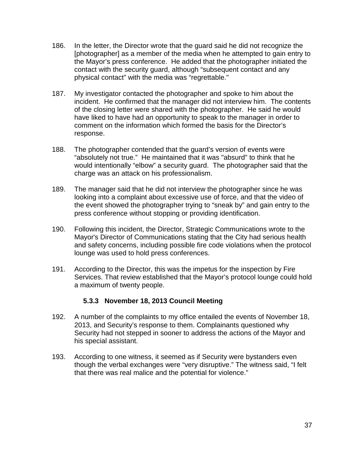- 186. In the letter, the Director wrote that the guard said he did not recognize the [photographer] as a member of the media when he attempted to gain entry to the Mayor's press conference. He added that the photographer initiated the contact with the security guard, although "subsequent contact and any physical contact" with the media was "regrettable."
- 187. My investigator contacted the photographer and spoke to him about the incident. He confirmed that the manager did not interview him. The contents of the closing letter were shared with the photographer. He said he would have liked to have had an opportunity to speak to the manager in order to comment on the information which formed the basis for the Director's response.
- 188. The photographer contended that the guard's version of events were "absolutely not true." He maintained that it was "absurd" to think that he would intentionally "elbow" a security guard. The photographer said that the charge was an attack on his professionalism.
- 189. The manager said that he did not interview the photographer since he was looking into a complaint about excessive use of force, and that the video of the event showed the photographer trying to "sneak by" and gain entry to the press conference without stopping or providing identification.
- 190. Following this incident, the Director, Strategic Communications wrote to the Mayor's Director of Communications stating that the City had serious health and safety concerns, including possible fire code violations when the protocol lounge was used to hold press conferences.
- 191. According to the Director, this was the impetus for the inspection by Fire Services. That review established that the Mayor's protocol lounge could hold a maximum of twenty people.

#### **5.3.3 November 18, 2013 Council Meeting**

- <span id="page-36-0"></span>192. A number of the complaints to my office entailed the events of November 18, 2013, and Security's response to them. Complainants questioned why Security had not stepped in sooner to address the actions of the Mayor and his special assistant.
- 193. According to one witness, it seemed as if Security were bystanders even though the verbal exchanges were "very disruptive." The witness said, "I felt that there was real malice and the potential for violence."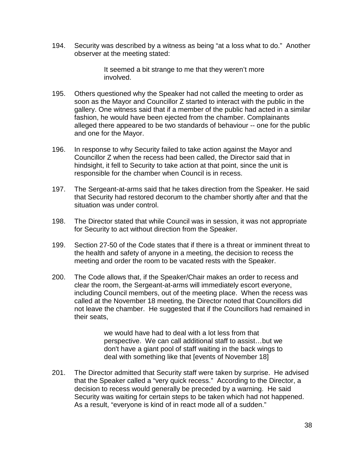194. Security was described by a witness as being "at a loss what to do." Another observer at the meeting stated:

> It seemed a bit strange to me that they weren't more involved.

- 195. Others questioned why the Speaker had not called the meeting to order as soon as the Mayor and Councillor Z started to interact with the public in the gallery. One witness said that if a member of the public had acted in a similar fashion, he would have been ejected from the chamber. Complainants alleged there appeared to be two standards of behaviour -- one for the public and one for the Mayor.
- 196. In response to why Security failed to take action against the Mayor and Councillor Z when the recess had been called, the Director said that in hindsight, it fell to Security to take action at that point, since the unit is responsible for the chamber when Council is in recess.
- 197. The Sergeant-at-arms said that he takes direction from the Speaker. He said that Security had restored decorum to the chamber shortly after and that the situation was under control.
- 198. The Director stated that while Council was in session, it was not appropriate for Security to act without direction from the Speaker.
- 199. Section 27-50 of the Code states that if there is a threat or imminent threat to the health and safety of anyone in a meeting, the decision to recess the meeting and order the room to be vacated rests with the Speaker.
- 200. The Code allows that, if the Speaker/Chair makes an order to recess and clear the room, the Sergeant-at-arms will immediately escort everyone, including Council members, out of the meeting place. When the recess was called at the November 18 meeting, the Director noted that Councillors did not leave the chamber. He suggested that if the Councillors had remained in their seats,

we would have had to deal with a lot less from that perspective. We can call additional staff to assist…but we don't have a giant pool of staff waiting in the back wings to deal with something like that [events of November 18]

201. The Director admitted that Security staff were taken by surprise. He advised that the Speaker called a "very quick recess." According to the Director, a decision to recess would generally be preceded by a warning. He said Security was waiting for certain steps to be taken which had not happened. As a result, "everyone is kind of in react mode all of a sudden."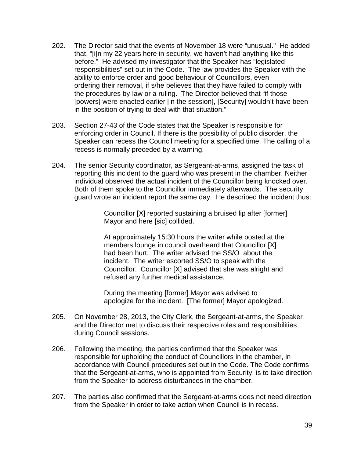- 202. The Director said that the events of November 18 were "unusual." He added that, "[i]n my 22 years here in security, we haven't had anything like this before." He advised my investigator that the Speaker has "legislated responsibilities" set out in the Code. The law provides the Speaker with the ability to enforce order and good behaviour of Councillors, even ordering their removal, if s/he believes that they have failed to comply with the procedures by-law or a ruling. The Director believed that "if those [powers] were enacted earlier [in the session], [Security] wouldn't have been in the position of trying to deal with that situation."
- 203. Section 27-43 of the Code states that the Speaker is responsible for enforcing order in Council. If there is the possibility of public disorder, the Speaker can recess the Council meeting for a specified time. The calling of a recess is normally preceded by a warning.
- 204. The senior Security coordinator, as Sergeant-at-arms, assigned the task of reporting this incident to the guard who was present in the chamber. Neither individual observed the actual incident of the Councillor being knocked over. Both of them spoke to the Councillor immediately afterwards. The security guard wrote an incident report the same day. He described the incident thus:

Councillor [X] reported sustaining a bruised lip after [former] Mayor and here [sic] collided.

At approximately 15:30 hours the writer while posted at the members lounge in council overheard that Councillor [X] had been hurt. The writer advised the SS/O about the incident. The writer escorted SS/O to speak with the Councillor. Councillor [X] advised that she was alright and refused any further medical assistance.

During the meeting [former] Mayor was advised to apologize for the incident. [The former] Mayor apologized.

- 205. On November 28, 2013, the City Clerk, the Sergeant-at-arms, the Speaker and the Director met to discuss their respective roles and responsibilities during Council sessions.
- 206. Following the meeting, the parties confirmed that the Speaker was responsible for upholding the conduct of Councillors in the chamber, in accordance with Council procedures set out in the Code. The Code confirms that the Sergeant-at-arms, who is appointed from Security, is to take direction from the Speaker to address disturbances in the chamber.
- 207. The parties also confirmed that the Sergeant-at-arms does not need direction from the Speaker in order to take action when Council is in recess.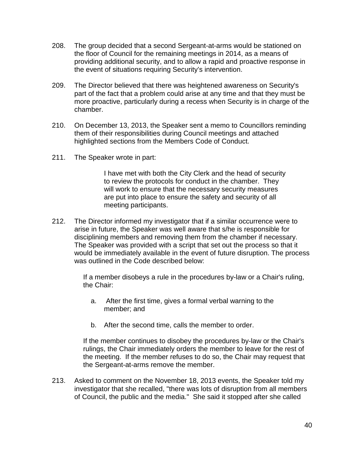- 208. The group decided that a second Sergeant-at-arms would be stationed on the floor of Council for the remaining meetings in 2014, as a means of providing additional security, and to allow a rapid and proactive response in the event of situations requiring Security's intervention.
- 209. The Director believed that there was heightened awareness on Security's part of the fact that a problem could arise at any time and that they must be more proactive, particularly during a recess when Security is in charge of the chamber.
- 210. On December 13, 2013, the Speaker sent a memo to Councillors reminding them of their responsibilities during Council meetings and attached highlighted sections from the Members Code of Conduct.
- 211. The Speaker wrote in part:

I have met with both the City Clerk and the head of security to review the protocols for conduct in the chamber. They will work to ensure that the necessary security measures are put into place to ensure the safety and security of all meeting participants.

212. The Director informed my investigator that if a similar occurrence were to arise in future, the Speaker was well aware that s/he is responsible for disciplining members and removing them from the chamber if necessary. The Speaker was provided with a script that set out the process so that it would be immediately available in the event of future disruption. The process was outlined in the Code described below:

> If a member disobeys a rule in the procedures by-law or a Chair's ruling, the Chair:

- a. After the first time, gives a formal verbal warning to the member; and
- b. After the second time, calls the member to order.

If the member continues to disobey the procedures by-law or the Chair's rulings, the Chair immediately orders the member to leave for the rest of the meeting. If the member refuses to do so, the Chair may request that the Sergeant-at-arms remove the member.

213. Asked to comment on the November 18, 2013 events, the Speaker told my investigator that she recalled, "there was lots of disruption from all members of Council, the public and the media." She said it stopped after she called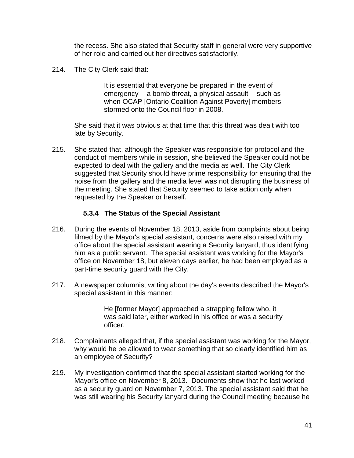the recess. She also stated that Security staff in general were very supportive of her role and carried out her directives satisfactorily.

214. The City Clerk said that:

It is essential that everyone be prepared in the event of emergency -- a bomb threat, a physical assault -- such as when OCAP [Ontario Coalition Against Poverty] members stormed onto the Council floor in 2008.

She said that it was obvious at that time that this threat was dealt with too late by Security.

215. She stated that, although the Speaker was responsible for protocol and the conduct of members while in session, she believed the Speaker could not be expected to deal with the gallery and the media as well. The City Clerk suggested that Security should have prime responsibility for ensuring that the noise from the gallery and the media level was not disrupting the business of the meeting. She stated that Security seemed to take action only when requested by the Speaker or herself.

#### **5.3.4 The Status of the Special Assistant**

- <span id="page-40-0"></span>216. During the events of November 18, 2013, aside from complaints about being filmed by the Mayor's special assistant, concerns were also raised with my office about the special assistant wearing a Security lanyard, thus identifying him as a public servant. The special assistant was working for the Mayor's office on November 18, but eleven days earlier, he had been employed as a part-time security guard with the City.
- 217. A newspaper columnist writing about the day's events described the Mayor's special assistant in this manner:

He [former Mayor] approached a strapping fellow who, it was said later, either worked in his office or was a security officer.

- 218. Complainants alleged that, if the special assistant was working for the Mayor, why would he be allowed to wear something that so clearly identified him as an employee of Security?
- 219. My investigation confirmed that the special assistant started working for the Mayor's office on November 8, 2013. Documents show that he last worked as a security guard on November 7, 2013. The special assistant said that he was still wearing his Security lanyard during th*e* Council meeting because he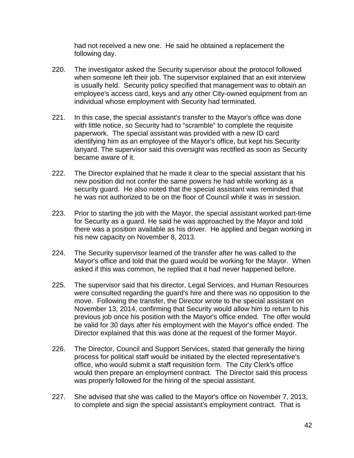had not received a new one. He said he obtained a replacement the following day.

- 220. The investigator asked the Security supervisor about the protocol followed when someone left their job. The supervisor explained that an exit interview is usually held. Security policy specified that management was to obtain an employee's access card, keys and any other City-owned equipment from an individual whose employment with Security had terminated.
- 221. In this case, the special assistant's transfer to the Mayor's office was done with little notice, so Security had to "scramble" to complete the requisite paperwork. The special assistant was provided with a new ID card identifying him as an employee of the Mayor's office, but kept his Security lanyard. The supervisor said this oversight was rectified as soon as Security became aware of it.
- 222. The Director explained that he made it clear to the special assistant that his new position did not confer the same powers he had while working as a security guard. He also noted that the special assistant was reminded that he was not authorized to be on the floor of Council while it was in session.
- 223. Prior to starting the job with the Mayor, the special assistant worked part-time for Security as a guard. He said he was approached by the Mayor and told there was a position available as his driver. He applied and began working in his new capacity on November 8, 2013.
- 224. The Security supervisor learned of the transfer after he was called to the Mayor's office and told that the guard would be working for the Mayor. When asked if this was common, he replied that it had never happened before.
- 225. The supervisor said that his director, Legal Services, and Human Resources were consulted regarding the guard's hire and there was no opposition to the move. Following the transfer, the Director wrote to the special assistant on November 13, 2014, confirming that Security would allow him to return to his previous job once his position with the Mayor's office ended. The offer would be valid for 30 days after his employment with the Mayor's office ended. The Director explained that this was done at the request of the former Mayor.
- 226. The Director, Council and Support Services, stated that generally the hiring process for political staff would be initiated by the elected representative's office, who would submit a staff requisition form. The City Clerk's office would then prepare an employment contract. The Director said this process was properly followed for the hiring of the special assistant.
- 227. She advised that she was called to the Mayor's office on November 7, 2013, to complete and sign the special assistant's employment contract. That is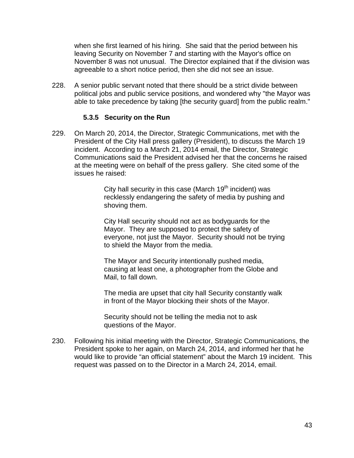when she first learned of his hiring. She said that the period between his leaving Security on November 7 and starting with the Mayor's office on November 8 was not unusual. The Director explained that if the division was agreeable to a short notice period, then she did not see an issue.

228. A senior public servant noted that there should be a strict divide between political jobs and public service positions, and wondered why "the Mayor was able to take precedence by taking [the security guard] from the public realm."

#### **5.3.5 Security on the Run**

<span id="page-42-0"></span>229. On March 20, 2014, the Director, Strategic Communications, met with the President of the City Hall press gallery (President), to discuss the March 19 incident. According to a March 21, 2014 email, the Director, Strategic Communications said the President advised her that the concerns he raised at the meeting were on behalf of the press gallery. She cited some of the issues he raised:

> City hall security in this case (March  $19<sup>th</sup>$  incident) was recklessly endangering the safety of media by pushing and shoving them.

> City Hall security should not act as bodyguards for the Mayor. They are supposed to protect the safety of everyone, not just the Mayor. Security should not be trying to shield the Mayor from the media.

The Mayor and Security intentionally pushed media, causing at least one, a photographer from the Globe and Mail, to fall down.

The media are upset that city hall Security constantly walk in front of the Mayor blocking their shots of the Mayor.

Security should not be telling the media not to ask questions of the Mayor.

230. Following his initial meeting with the Director, Strategic Communications, the President spoke to her again, on March 24, 2014, and informed her that he would like to provide "an official statement" about the March 19 incident. This request was passed on to the Director in a March 24, 2014, email.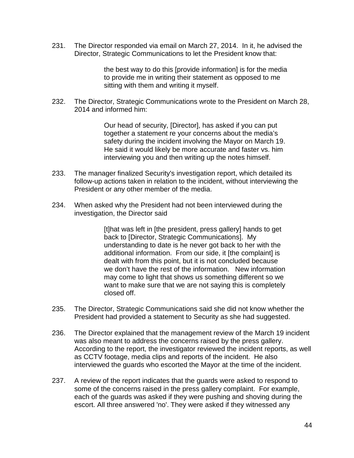231. The Director responded via email on March 27, 2014. In it, he advised the Director, Strategic Communications to let the President know that:

> the best way to do this [provide information] is for the media to provide me in writing their statement as opposed to me sitting with them and writing it myself.

232. The Director, Strategic Communications wrote to the President on March 28, 2014 and informed him:

> Our head of security, [Director], has asked if you can put together a statement re your concerns about the media's safety during the incident involving the Mayor on March 19. He said it would likely be more accurate and faster vs. him interviewing you and then writing up the notes himself.

- 233. The manager finalized Security's investigation report, which detailed its follow-up actions taken in relation to the incident, without interviewing the President or any other member of the media.
- 234. When asked why the President had not been interviewed during the investigation, the Director said

[t]hat was left in [the president, press gallery] hands to get back to [Director, Strategic Communications]. My understanding to date is he never got back to her with the additional information. From our side, it [the complaint] is dealt with from this point, but it is not concluded because we don't have the rest of the information. New information may come to light that shows us something different so we want to make sure that we are not saying this is completely closed off.

- 235. The Director, Strategic Communications said she did not know whether the President had provided a statement to Security as she had suggested.
- 236. The Director explained that the management review of the March 19 incident was also meant to address the concerns raised by the press gallery. According to the report, the investigator reviewed the incident reports, as well as CCTV footage, media clips and reports of the incident. He also interviewed the guards who escorted the Mayor at the time of the incident.
- 237. A review of the report indicates that the guards were asked to respond to some of the concerns raised in the press gallery complaint. For example, each of the guards was asked if they were pushing and shoving during the escort. All three answered 'no'. They were asked if they witnessed any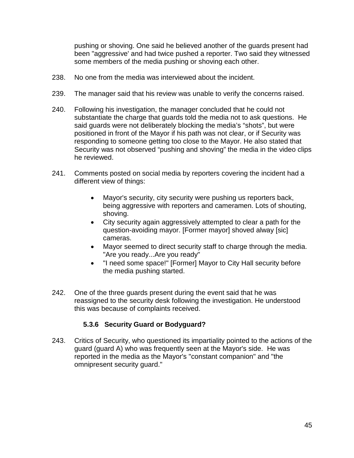pushing or shoving. One said he believed another of the guards present had been "aggressive' and had twice pushed a reporter. Two said they witnessed some members of the media pushing or shoving each other.

- 238. No one from the media was interviewed about the incident.
- 239. The manager said that his review was unable to verify the concerns raised.
- 240. Following his investigation, the manager concluded that he could not substantiate the charge that guards told the media not to ask questions. He said guards were not deliberately blocking the media's "shots", but were positioned in front of the Mayor if his path was not clear, or if Security was responding to someone getting too close to the Mayor. He also stated that Security was not observed "pushing and shoving" the media in the video clips he reviewed.
- 241. Comments posted on social media by reporters covering the incident had a different view of things:
	- Mayor's security, city security were pushing us reporters back, being aggressive with reporters and cameramen. Lots of shouting, shoving.
	- City security again aggressively attempted to clear a path for the question-avoiding mayor. [Former mayor] shoved alway [sic] cameras.
	- Mayor seemed to direct security staff to charge through the media. "Are you ready...Are you ready"
	- "I need some space!" [Former] Mayor to City Hall security before the media pushing started.
- 242. One of the three guards present during the event said that he was reassigned to the security desk following the investigation. He understood this was because of complaints received.

#### **5.3.6 Security Guard or Bodyguard?**

<span id="page-44-0"></span>243. Critics of Security, who questioned its impartiality pointed to the actions of the guard (guard A) who was frequently seen at the Mayor's side. He was reported in the media as the Mayor's "constant companion" and "the omnipresent security guard."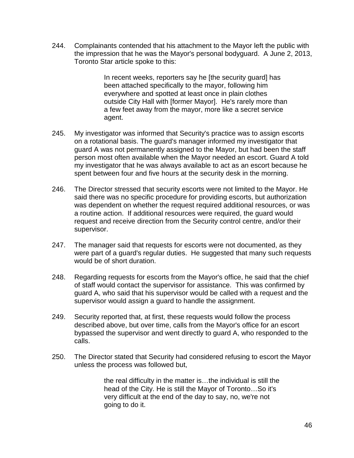244. Complainants contended that his attachment to the Mayor left the public with the impression that he was the Mayor's personal bodyguard. A June 2, 2013, Toronto Star article spoke to this:

> In recent weeks, reporters say he [the security guard] has been attached specifically to the mayor, following him everywhere and spotted at least once in plain clothes outside City Hall with [former Mayor]. He's rarely more than a few feet away from the mayor, more like a secret service agent.

- 245. My investigator was informed that Security's practice was to assign escorts on a rotational basis. The guard's manager informed my investigator that guard A was not permanently assigned to the Mayor, but had been the staff person most often available when the Mayor needed an escort. Guard A told my investigator that he was always available to act as an escort because he spent between four and five hours at the security desk in the morning.
- 246. The Director stressed that security escorts were not limited to the Mayor. He said there was no specific procedure for providing escorts, but authorization was dependent on whether the request required additional resources, or was a routine action. If additional resources were required, the guard would request and receive direction from the Security control centre, and/or their supervisor.
- 247. The manager said that requests for escorts were not documented, as they were part of a guard's regular duties. He suggested that many such requests would be of short duration.
- 248. Regarding requests for escorts from the Mayor's office, he said that the chief of staff would contact the supervisor for assistance. This was confirmed by guard A, who said that his supervisor would be called with a request and the supervisor would assign a guard to handle the assignment.
- 249. Security reported that, at first, these requests would follow the process described above, but over time, calls from the Mayor's office for an escort bypassed the supervisor and went directly to guard A, who responded to the calls.
- 250. The Director stated that Security had considered refusing to escort the Mayor unless the process was followed but,

the real difficulty in the matter is…the individual is still the head of the City. He is still the Mayor of Toronto…So it's very difficult at the end of the day to say, no, we're not going to do it.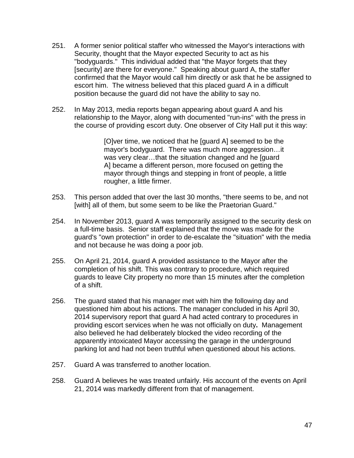- 251. A former senior political staffer who witnessed the Mayor's interactions with Security, thought that the Mayor expected Security to act as his "bodyguards." This individual added that "the Mayor forgets that they [security] are there for everyone." Speaking about guard A, the staffer confirmed that the Mayor would call him directly or ask that he be assigned to escort him. The witness believed that this placed guard A in a difficult position because the guard did not have the ability to say no.
- 252. In May 2013, media reports began appearing about guard A and his relationship to the Mayor, along with documented "run-ins" with the press in the course of providing escort duty. One observer of City Hall put it this way:

[O]ver time, we noticed that he [guard A] seemed to be the mayor's bodyguard. There was much more aggression…it was very clear…that the situation changed and he [guard A] became a different person, more focused on getting the mayor through things and stepping in front of people, a little rougher, a little firmer.

- 253. This person added that over the last 30 months, "there seems to be, and not [with] all of them, but some seem to be like the Praetorian Guard."
- 254. In November 2013, guard A was temporarily assigned to the security desk on a full-time basis. Senior staff explained that the move was made for the guard's "own protection" in order to de-escalate the "situation" with the media and not because he was doing a poor job.
- 255. On April 21, 2014, guard A provided assistance to the Mayor after the completion of his shift. This was contrary to procedure, which required guards to leave City property no more than 15 minutes after the completion of a shift.
- 256. The guard stated that his manager met with him the following day and questioned him about his actions. The manager concluded in his April 30, 2014 supervisory report that guard A had acted contrary to procedures in providing escort services when he was not officially on duty**.** Management also believed he had deliberately blocked the video recording of the apparently intoxicated Mayor accessing the garage in the underground parking lot and had not been truthful when questioned about his actions.
- 257. Guard A was transferred to another location.
- 258. Guard A believes he was treated unfairly. His account of the events on April 21, 2014 was markedly different from that of management.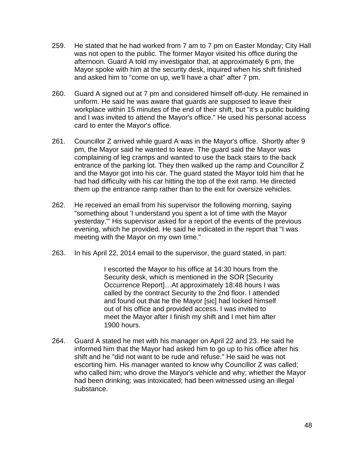- 259. He stated that he had worked from 7 am to 7 pm on Easter Monday; City Hall was not open to the public. The former Mayor visited his office during the afternoon. Guard A told my investigator that, at approximately 6 pm, the Mayor spoke with him at the security desk, inquired when his shift finished and asked him to "come on up, we'll have a chat" after 7 pm.
- 260. Guard A signed out at 7 pm and considered himself off-duty. He remained in uniform. He said he was aware that guards are supposed to leave their workplace within 15 minutes of the end of their shift, but "it's a public building and I was invited to attend the Mayor's office." He used his personal access card to enter the Mayor's office.
- 261. Councillor Z arrived while guard A was in the Mayor's office. Shortly after 9 pm, the Mayor said he wanted to leave. The guard said the Mayor was complaining of leg cramps and wanted to use the back stairs to the back entrance of the parking lot. They then walked up the ramp and Councillor Z and the Mayor got into his car. The guard stated the Mayor told him that he had had difficulty with his car hitting the top of the exit ramp. He directed them up the entrance ramp rather than to the exit for oversize vehicles.
- 262. He received an email from his supervisor the following morning, saying "something about 'I understand you spent a lot of time with the Mayor yesterday.'" His supervisor asked for a report of the events of the previous evening, which he provided. He said he indicated in the report that "I was meeting with the Mayor on my own time."
- 263. In his April 22, 2014 email to the supervisor, the guard stated, in part:

I escorted the Mayor to his office at 14:30 hours from the Security desk, which is mentioned in the SOR [Security Occurrence Report]…At approximately 18:48 hours I was called by the contract Security to the 2nd floor. I attended and found out that he the Mayor [sic] had locked himself out of his office and provided access. I was invited to meet the Mayor after I finish my shift and I met him after 1900 hours.

264. Guard A stated he met with his manager on April 22 and 23. He said he informed him that the Mayor had asked him to go up to his office after his shift and he "did not want to be rude and refuse." He said he was not escorting him. His manager wanted to know why Councillor Z was called; who called him; who drove the Mayor's vehicle and why; whether the Mayor had been drinking; was intoxicated; had been witnessed using an illegal substance.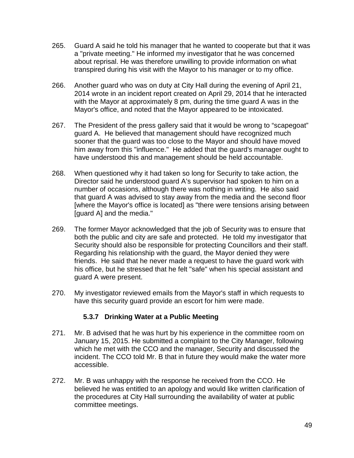- 265. Guard A said he told his manager that he wanted to cooperate but that it was a "private meeting." He informed my investigator that he was concerned about reprisal. He was therefore unwilling to provide information on what transpired during his visit with the Mayor to his manager or to my office.
- 266. Another guard who was on duty at City Hall during the evening of April 21, 2014 wrote in an incident report created on April 29, 2014 that he interacted with the Mayor at approximately 8 pm, during the time guard A was in the Mayor's office, and noted that the Mayor appeared to be intoxicated.
- 267. The President of the press gallery said that it would be wrong to "scapegoat" guard A. He believed that management should have recognized much sooner that the guard was too close to the Mayor and should have moved him away from this "influence." He added that the guard's manager ought to have understood this and management should be held accountable.
- 268. When questioned why it had taken so long for Security to take action, the Director said he understood guard A's supervisor had spoken to him on a number of occasions, although there was nothing in writing. He also said that guard A was advised to stay away from the media and the second floor [where the Mayor's office is located] as "there were tensions arising between [guard A] and the media."
- 269. The former Mayor acknowledged that the job of Security was to ensure that both the public and city are safe and protected. He told my investigator that Security should also be responsible for protecting Councillors and their staff. Regarding his relationship with the guard, the Mayor denied they were friends. He said that he never made a request to have the guard work with his office, but he stressed that he felt "safe" when his special assistant and guard A were present.
- 270. My investigator reviewed emails from the Mayor's staff in which requests to have this security guard provide an escort for him were made.

#### **5.3.7 Drinking Water at a Public Meeting**

- <span id="page-48-0"></span>271. Mr. B advised that he was hurt by his experience in the committee room on January 15, 2015. He submitted a complaint to the City Manager, following which he met with the CCO and the manager, Security and discussed the incident. The CCO told Mr. B that in future they would make the water more accessible.
- 272. Mr. B was unhappy with the response he received from the CCO. He believed he was entitled to an apology and would like written clarification of the procedures at City Hall surrounding the availability of water at public committee meetings.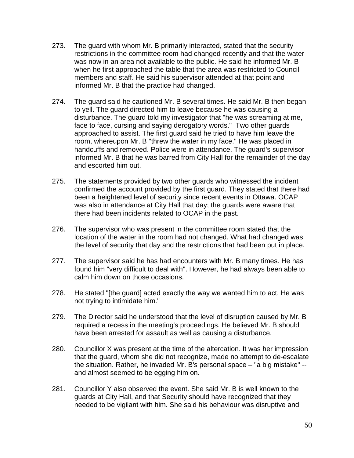- 273. The guard with whom Mr. B primarily interacted, stated that the security restrictions in the committee room had changed recently and that the water was now in an area not available to the public. He said he informed Mr. B when he first approached the table that the area was restricted to Council members and staff. He said his supervisor attended at that point and informed Mr. B that the practice had changed.
- 274. The guard said he cautioned Mr. B several times. He said Mr. B then began to yell. The guard directed him to leave because he was causing a disturbance. The guard told my investigator that "he was screaming at me, face to face, cursing and saying derogatory words." Two other guards approached to assist. The first guard said he tried to have him leave the room, whereupon Mr. B "threw the water in my face." He was placed in handcuffs and removed. Police were in attendance. The guard's supervisor informed Mr. B that he was barred from City Hall for the remainder of the day and escorted him out.
- 275. The statements provided by two other guards who witnessed the incident confirmed the account provided by the first guard. They stated that there had been a heightened level of security since recent events in Ottawa. OCAP was also in attendance at City Hall that day; the guards were aware that there had been incidents related to OCAP in the past.
- 276. The supervisor who was present in the committee room stated that the location of the water in the room had not changed. What had changed was the level of security that day and the restrictions that had been put in place.
- 277. The supervisor said he has had encounters with Mr. B many times. He has found him "very difficult to deal with". However, he had always been able to calm him down on those occasions.
- 278. He stated "[the guard] acted exactly the way we wanted him to act. He was not trying to intimidate him."
- 279. The Director said he understood that the level of disruption caused by Mr. B required a recess in the meeting's proceedings. He believed Mr. B should have been arrested for assault as well as causing a disturbance.
- 280. Councillor X was present at the time of the altercation. It was her impression that the guard, whom she did not recognize, made no attempt to de-escalate the situation. Rather, he invaded Mr. B's personal space – "a big mistake" - and almost seemed to be egging him on.
- 281. Councillor Y also observed the event. She said Mr. B is well known to the guards at City Hall, and that Security should have recognized that they needed to be vigilant with him. She said his behaviour was disruptive and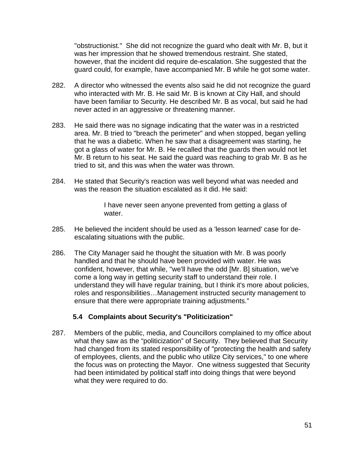"obstructionist." She did not recognize the guard who dealt with Mr. B, but it was her impression that he showed tremendous restraint. She stated, however, that the incident did require de-escalation. She suggested that the guard could, for example, have accompanied Mr. B while he got some water.

- 282. A director who witnessed the events also said he did not recognize the guard who interacted with Mr. B. He said Mr. B is known at City Hall, and should have been familiar to Security. He described Mr. B as vocal, but said he had never acted in an aggressive or threatening manner.
- 283. He said there was no signage indicating that the water was in a restricted area. Mr. B tried to "breach the perimeter" and when stopped, began yelling that he was a diabetic. When he saw that a disagreement was starting, he got a glass of water for Mr. B. He recalled that the guards then would not let Mr. B return to his seat. He said the guard was reaching to grab Mr. B as he tried to sit, and this was when the water was thrown.
- 284. He stated that Security's reaction was well beyond what was needed and was the reason the situation escalated as it did. He said:

I have never seen anyone prevented from getting a glass of water.

- 285. He believed the incident should be used as a 'lesson learned' case for deescalating situations with the public.
- 286. The City Manager said he thought the situation with Mr. B was poorly handled and that he should have been provided with water. He was confident, however, that while, "we'll have the odd [Mr. B] situation, we've come a long way in getting security staff to understand their role. I understand they will have regular training, but I think it's more about policies, roles and responsibilities…Management instructed security management to ensure that there were appropriate training adjustments."

#### **5.4 Complaints about Security's "Politicization"**

<span id="page-50-0"></span>287. Members of the public, media, and Councillors complained to my office about what they saw as the "politicization" of Security. They believed that Security had changed from its stated responsibility of "protecting the health and safety of employees, clients, and the public who utilize City services," to one where the focus was on protecting the Mayor. One witness suggested that Security had been intimidated by political staff into doing things that were beyond what they were required to do.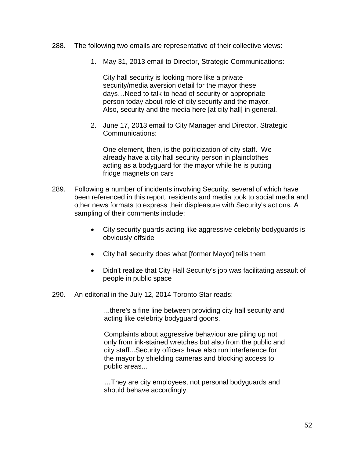- 288. The following two emails are representative of their collective views:
	- 1. May 31, 2013 email to Director, Strategic Communications:

City hall security is looking more like a private security/media aversion detail for the mayor these days…Need to talk to head of security or appropriate person today about role of city security and the mayor. Also, security and the media here [at city hall] in general.

2. June 17, 2013 email to City Manager and Director, Strategic Communications:

One element, then, is the politicization of city staff. We already have a city hall security person in plainclothes acting as a bodyguard for the mayor while he is putting fridge magnets on cars

- 289. Following a number of incidents involving Security, several of which have been referenced in this report, residents and media took to social media and other news formats to express their displeasure with Security's actions. A sampling of their comments include:
	- City security guards acting like aggressive celebrity bodyguards is obviously offside
	- City hall security does what [former Mayor] tells them
	- Didn't realize that City Hall Security's job was facilitating assault of people in public space
- 290. An editorial in the July 12, 2014 Toronto Star reads:

...there's a fine line between providing city hall security and acting like celebrity bodyguard goons.

Complaints about aggressive behaviour are piling up not only from ink-stained wretches but also from the public and city staff...Security officers have also run interference for the mayor by shielding cameras and blocking access to public areas...

…They are city employees, not personal bodyguards and should behave accordingly.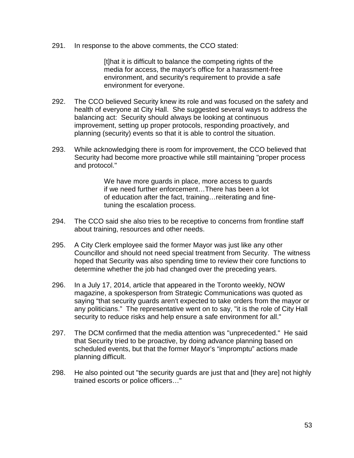291. In response to the above comments, the CCO stated:

[t]hat it is difficult to balance the competing rights of the media for access, the mayor's office for a harassment-free environment, and security's requirement to provide a safe environment for everyone.

- 292. The CCO believed Security knew its role and was focused on the safety and health of everyone at City Hall. She suggested several ways to address the balancing act: Security should always be looking at continuous improvement, setting up proper protocols, responding proactively, and planning (security) events so that it is able to control the situation.
- 293. While acknowledging there is room for improvement, the CCO believed that Security had become more proactive while still maintaining "proper process and protocol."

We have more guards in place, more access to guards if we need further enforcement…There has been a lot of education after the fact, training…reiterating and finetuning the escalation process.

- 294. The CCO said she also tries to be receptive to concerns from frontline staff about training, resources and other needs.
- 295. A City Clerk employee said the former Mayor was just like any other Councillor and should not need special treatment from Security. The witness hoped that Security was also spending time to review their core functions to determine whether the job had changed over the preceding years.
- 296. In a July 17, 2014, article that appeared in the Toronto weekly, NOW magazine, a spokesperson from Strategic Communications was quoted as saying "that security guards aren't expected to take orders from the mayor or any politicians." The representative went on to say, "it is the role of City Hall security to reduce risks and help ensure a safe environment for all."
- 297. The DCM confirmed that the media attention was "unprecedented." He said that Security tried to be proactive, by doing advance planning based on scheduled events, but that the former Mayor's "impromptu" actions made planning difficult.
- 298. He also pointed out "the security guards are just that and [they are] not highly trained escorts or police officers…"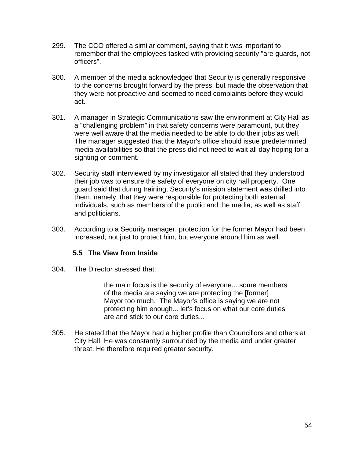- 299. The CCO offered a similar comment, saying that it was important to remember that the employees tasked with providing security "are guards, not officers".
- 300. A member of the media acknowledged that Security is generally responsive to the concerns brought forward by the press, but made the observation that they were not proactive and seemed to need complaints before they would act.
- 301. A manager in Strategic Communications saw the environment at City Hall as a "challenging problem" in that safety concerns were paramount, but they were well aware that the media needed to be able to do their jobs as well. The manager suggested that the Mayor's office should issue predetermined media availabilities so that the press did not need to wait all day hoping for a sighting or comment.
- 302. Security staff interviewed by my investigator all stated that they understood their job was to ensure the safety of everyone on city hall property. One guard said that during training, Security's mission statement was drilled into them, namely, that they were responsible for protecting both external individuals, such as members of the public and the media, as well as staff and politicians.
- 303. According to a Security manager, protection for the former Mayor had been increased, not just to protect him, but everyone around him as well.

#### **5.5 The View from Inside**

<span id="page-53-0"></span>304. The Director stressed that:

the main focus is the security of everyone... some members of the media are saying we are protecting the [former] Mayor too much. The Mayor's office is saying we are not protecting him enough... let's focus on what our core duties are and stick to our core duties...

305. He stated that the Mayor had a higher profile than Councillors and others at City Hall. He was constantly surrounded by the media and under greater threat. He therefore required greater security.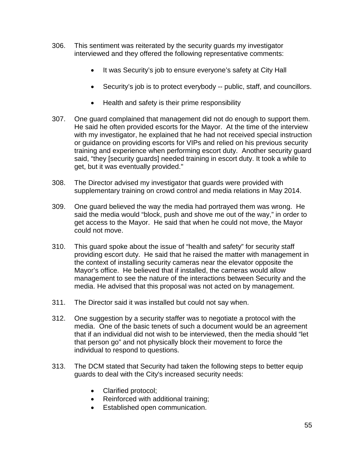- 306. This sentiment was reiterated by the security guards my investigator interviewed and they offered the following representative comments:
	- It was Security's job to ensure everyone's safety at City Hall
	- Security's job is to protect everybody -- public, staff, and councillors.
	- Health and safety is their prime responsibility
- 307. One guard complained that management did not do enough to support them. He said he often provided escorts for the Mayor. At the time of the interview with my investigator, he explained that he had not received special instruction or guidance on providing escorts for VIPs and relied on his previous security training and experience when performing escort duty. Another security guard said, "they [security guards] needed training in escort duty. It took a while to get, but it was eventually provided."
- 308. The Director advised my investigator that guards were provided with supplementary training on crowd control and media relations in May 2014.
- 309. One guard believed the way the media had portrayed them was wrong. He said the media would "block, push and shove me out of the way," in order to get access to the Mayor. He said that when he could not move, the Mayor could not move.
- 310. This guard spoke about the issue of "health and safety" for security staff providing escort duty. He said that he raised the matter with management in the context of installing security cameras near the elevator opposite the Mayor's office. He believed that if installed, the cameras would allow management to see the nature of the interactions between Security and the media. He advised that this proposal was not acted on by management.
- 311. The Director said it was installed but could not say when.
- 312. One suggestion by a security staffer was to negotiate a protocol with the media. One of the basic tenets of such a document would be an agreement that if an individual did not wish to be interviewed, then the media should "let that person go" and not physically block their movement to force the individual to respond to questions.
- 313. The DCM stated that Security had taken the following steps to better equip guards to deal with the City's increased security needs:
	- Clarified protocol;
	- Reinforced with additional training;
	- Established open communication.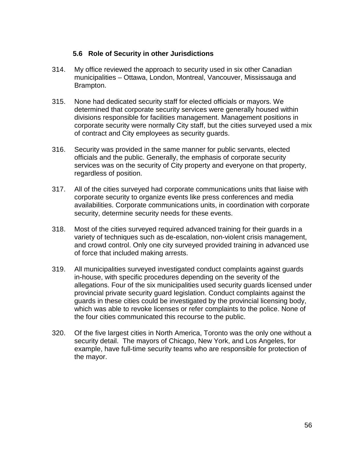#### **5.6 Role of Security in other Jurisdictions**

- <span id="page-55-0"></span>314. My office reviewed the approach to security used in six other Canadian municipalities – Ottawa, London, Montreal, Vancouver, Mississauga and Brampton.
- 315. None had dedicated security staff for elected officials or mayors. We determined that corporate security services were generally housed within divisions responsible for facilities management. Management positions in corporate security were normally City staff, but the cities surveyed used a mix of contract and City employees as security guards.
- 316. Security was provided in the same manner for public servants, elected officials and the public. Generally, the emphasis of corporate security services was on the security of City property and everyone on that property, regardless of position.
- 317. All of the cities surveyed had corporate communications units that liaise with corporate security to organize events like press conferences and media availabilities. Corporate communications units, in coordination with corporate security, determine security needs for these events.
- 318. Most of the cities surveyed required advanced training for their guards in a variety of techniques such as de-escalation, non-violent crisis management, and crowd control. Only one city surveyed provided training in advanced use of force that included making arrests.
- 319. All municipalities surveyed investigated conduct complaints against guards in-house, with specific procedures depending on the severity of the allegations. Four of the six municipalities used security guards licensed under provincial private security guard legislation. Conduct complaints against the guards in these cities could be investigated by the provincial licensing body, which was able to revoke licenses or refer complaints to the police. None of the four cities communicated this recourse to the public.
- 320. Of the five largest cities in North America, Toronto was the only one without a security detail. The mayors of Chicago, New York, and Los Angeles, for example, have full-time security teams who are responsible for protection of the mayor.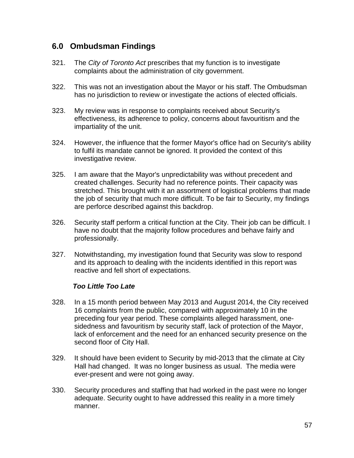# <span id="page-56-0"></span>**6.0 Ombudsman Findings**

- 321. The *City of Toronto Act* prescribes that my function is to investigate complaints about the administration of city government.
- 322. This was not an investigation about the Mayor or his staff. The Ombudsman has no jurisdiction to review or investigate the actions of elected officials.
- 323. My review was in response to complaints received about Security's effectiveness, its adherence to policy, concerns about favouritism and the impartiality of the unit.
- 324. However, the influence that the former Mayor's office had on Security's ability to fulfil its mandate cannot be ignored. It provided the context of this investigative review.
- 325. I am aware that the Mayor's unpredictability was without precedent and created challenges. Security had no reference points. Their capacity was stretched. This brought with it an assortment of logistical problems that made the job of security that much more difficult. To be fair to Security, my findings are perforce described against this backdrop.
- 326. Security staff perform a critical function at the City. Their job can be difficult. I have no doubt that the majority follow procedures and behave fairly and professionally.
- 327. Notwithstanding, my investigation found that Security was slow to respond and its approach to dealing with the incidents identified in this report was reactive and fell short of expectations.

#### *Too Little Too Late*

- 328. In a 15 month period between May 2013 and August 2014, the City received 16 complaints from the public, compared with approximately 10 in the preceding four year period. These complaints alleged harassment, onesidedness and favouritism by security staff, lack of protection of the Mayor, lack of enforcement and the need for an enhanced security presence on the second floor of City Hall.
- 329. It should have been evident to Security by mid-2013 that the climate at City Hall had changed. It was no longer business as usual. The media were ever-present and were not going away.
- 330. Security procedures and staffing that had worked in the past were no longer adequate. Security ought to have addressed this reality in a more timely manner.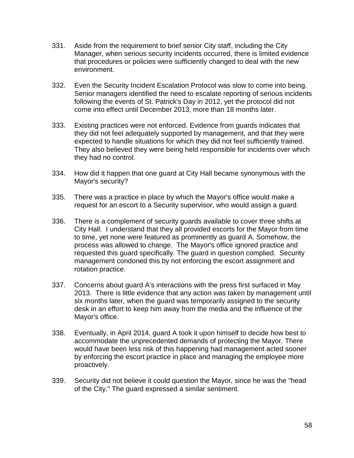- 331. Aside from the requirement to brief senior City staff, including the City Manager, when serious security incidents occurred, there is limited evidence that procedures or policies were sufficiently changed to deal with the new environment.
- 332. Even the Security Incident Escalation Protocol was slow to come into being. Senior managers identified the need to escalate reporting of serious incidents following the events of St. Patrick's Day in 2012, yet the protocol did not come into effect until December 2013, more than 18 months later.
- 333. Existing practices were not enforced. Evidence from guards indicates that they did not feel adequately supported by management, and that they were expected to handle situations for which they did not feel sufficiently trained. They also believed they were being held responsible for incidents over which they had no control.
- 334. How did it happen that one guard at City Hall became synonymous with the Mayor's security?
- 335. There was a practice in place by which the Mayor's office would make a request for an escort to a Security supervisor, who would assign a guard.
- 336. There is a complement of security guards available to cover three shifts at City Hall. I understand that they all provided escorts for the Mayor from time to time, yet none were featured as prominently as guard A. Somehow, the process was allowed to change. The Mayor's office ignored practice and requested this guard specifically. The guard in question complied. Security management condoned this by not enforcing the escort assignment and rotation practice.
- 337. Concerns about guard A's interactions with the press first surfaced in May 2013. There is little evidence that any action was taken by management until six months later, when the guard was temporarily assigned to the security desk in an effort to keep him away from the media and the influence of the Mayor's office.
- 338. Eventually, in April 2014, guard A took it upon himself to decide how best to accommodate the unprecedented demands of protecting the Mayor. There would have been less risk of this happening had management acted sooner by enforcing the escort practice in place and managing the employee more proactively.
- 339. Security did not believe it could question the Mayor, since he was the "head of the City." The guard expressed a similar sentiment.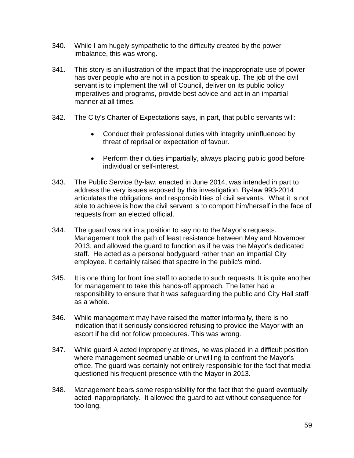- 340. While I am hugely sympathetic to the difficulty created by the power imbalance, this was wrong.
- 341. This story is an illustration of the impact that the inappropriate use of power has over people who are not in a position to speak up. The job of the civil servant is to implement the will of Council, deliver on its public policy imperatives and programs, provide best advice and act in an impartial manner at all times.
- 342. The City's Charter of Expectations says, in part, that public servants will:
	- Conduct their professional duties with integrity uninfluenced by threat of reprisal or expectation of favour.
	- Perform their duties impartially, always placing public good before individual or self-interest.
- 343. The Public Service By-law, enacted in June 2014, was intended in part to address the very issues exposed by this investigation. By-law 993-2014 articulates the obligations and responsibilities of civil servants. What it is not able to achieve is how the civil servant is to comport him/herself in the face of requests from an elected official.
- 344. The guard was not in a position to say no to the Mayor's requests. Management took the path of least resistance between May and November 2013, and allowed the guard to function as if he was the Mayor's dedicated staff. He acted as a personal bodyguard rather than an impartial City employee. It certainly raised that spectre in the public's mind.
- 345. It is one thing for front line staff to accede to such requests. It is quite another for management to take this hands-off approach. The latter had a responsibility to ensure that it was safeguarding the public and City Hall staff as a whole.
- 346. While management may have raised the matter informally, there is no indication that it seriously considered refusing to provide the Mayor with an escort if he did not follow procedures. This was wrong.
- 347. While guard A acted improperly at times, he was placed in a difficult position where management seemed unable or unwilling to confront the Mayor's office. The guard was certainly not entirely responsible for the fact that media questioned his frequent presence with the Mayor in 2013.
- 348. Management bears some responsibility for the fact that the guard eventually acted inappropriately. It allowed the guard to act without consequence for too long.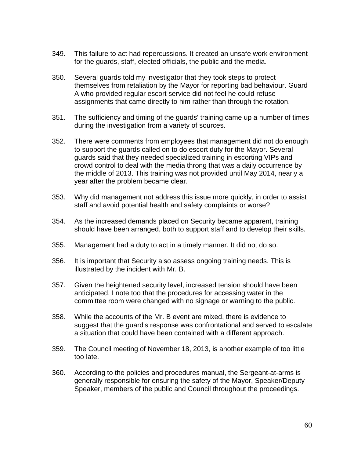- 349. This failure to act had repercussions. It created an unsafe work environment for the guards, staff, elected officials, the public and the media.
- 350. Several guards told my investigator that they took steps to protect themselves from retaliation by the Mayor for reporting bad behaviour. Guard A who provided regular escort service did not feel he could refuse assignments that came directly to him rather than through the rotation.
- 351. The sufficiency and timing of the guards' training came up a number of times during the investigation from a variety of sources.
- 352. There were comments from employees that management did not do enough to support the guards called on to do escort duty for the Mayor. Several guards said that they needed specialized training in escorting VIPs and crowd control to deal with the media throng that was a daily occurrence by the middle of 2013. This training was not provided until May 2014, nearly a year after the problem became clear.
- 353. Why did management not address this issue more quickly, in order to assist staff and avoid potential health and safety complaints or worse?
- 354. As the increased demands placed on Security became apparent, training should have been arranged, both to support staff and to develop their skills.
- 355. Management had a duty to act in a timely manner. It did not do so.
- 356. It is important that Security also assess ongoing training needs. This is illustrated by the incident with Mr. B.
- 357. Given the heightened security level, increased tension should have been anticipated. I note too that the procedures for accessing water in the committee room were changed with no signage or warning to the public.
- 358. While the accounts of the Mr. B event are mixed, there is evidence to suggest that the guard's response was confrontational and served to escalate a situation that could have been contained with a different approach.
- 359. The Council meeting of November 18, 2013, is another example of too little too late.
- 360. According to the policies and procedures manual, the Sergeant-at-arms is generally responsible for ensuring the safety of the Mayor, Speaker/Deputy Speaker, members of the public and Council throughout the proceedings.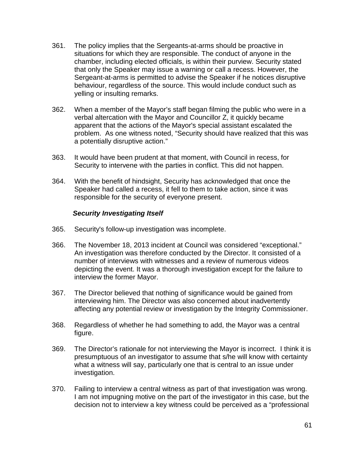- 361. The policy implies that the Sergeants-at-arms should be proactive in situations for which they are responsible. The conduct of anyone in the chamber, including elected officials, is within their purview. Security stated that only the Speaker may issue a warning or call a recess. However, the Sergeant-at-arms is permitted to advise the Speaker if he notices disruptive behaviour, regardless of the source. This would include conduct such as yelling or insulting remarks.
- 362. When a member of the Mayor's staff began filming the public who were in a verbal altercation with the Mayor and Councillor Z, it quickly became apparent that the actions of the Mayor's special assistant escalated the problem. As one witness noted, "Security should have realized that this was a potentially disruptive action."
- 363. It would have been prudent at that moment, with Council in recess, for Security to intervene with the parties in conflict. This did not happen.
- 364. With the benefit of hindsight, Security has acknowledged that once the Speaker had called a recess, it fell to them to take action, since it was responsible for the security of everyone present.

#### *Security Investigating Itself*

- 365. Security's follow-up investigation was incomplete.
- 366. The November 18, 2013 incident at Council was considered "exceptional." An investigation was therefore conducted by the Director. It consisted of a number of interviews with witnesses and a review of numerous videos depicting the event. It was a thorough investigation except for the failure to interview the former Mayor.
- 367. The Director believed that nothing of significance would be gained from interviewing him. The Director was also concerned about inadvertently affecting any potential review or investigation by the Integrity Commissioner.
- 368. Regardless of whether he had something to add, the Mayor was a central figure.
- 369. The Director's rationale for not interviewing the Mayor is incorrect. I think it is presumptuous of an investigator to assume that s/he will know with certainty what a witness will say, particularly one that is central to an issue under investigation.
- 370. Failing to interview a central witness as part of that investigation was wrong. I am not impugning motive on the part of the investigator in this case, but the decision not to interview a key witness could be perceived as a "professional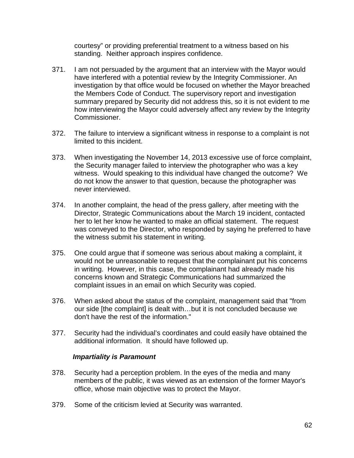courtesy" or providing preferential treatment to a witness based on his standing. Neither approach inspires confidence.

- 371. I am not persuaded by the argument that an interview with the Mayor would have interfered with a potential review by the Integrity Commissioner. An investigation by that office would be focused on whether the Mayor breached the Members Code of Conduct. The supervisory report and investigation summary prepared by Security did not address this, so it is not evident to me how interviewing the Mayor could adversely affect any review by the Integrity Commissioner.
- 372. The failure to interview a significant witness in response to a complaint is not limited to this incident.
- 373. When investigating the November 14, 2013 excessive use of force complaint, the Security manager failed to interview the photographer who was a key witness. Would speaking to this individual have changed the outcome? We do not know the answer to that question, because the photographer was never interviewed.
- 374. In another complaint, the head of the press gallery, after meeting with the Director, Strategic Communications about the March 19 incident, contacted her to let her know he wanted to make an official statement. The request was conveyed to the Director, who responded by saying he preferred to have the witness submit his statement in writing.
- 375. One could argue that if someone was serious about making a complaint, it would not be unreasonable to request that the complainant put his concerns in writing. However, in this case, the complainant had already made his concerns known and Strategic Communications had summarized the complaint issues in an email on which Security was copied.
- 376. When asked about the status of the complaint, management said that "from our side [the complaint] is dealt with…but it is not concluded because we don't have the rest of the information."
- 377. Security had the individual's coordinates and could easily have obtained the additional information. It should have followed up.

#### *Impartiality is Paramount*

- 378. Security had a perception problem. In the eyes of the media and many members of the public, it was viewed as an extension of the former Mayor's office, whose main objective was to protect the Mayor.
- 379. Some of the criticism levied at Security was warranted.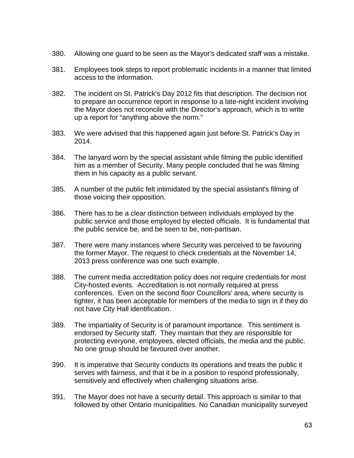- 380. Allowing one guard to be seen as the Mayor's dedicated staff was a mistake.
- 381. Employees took steps to report problematic incidents in a manner that limited access to the information.
- 382. The incident on St. Patrick's Day 2012 fits that description. The decision not to prepare an occurrence report in response to a late-night incident involving the Mayor does not reconcile with the Director's approach, which is to write up a report for "anything above the norm."
- 383. We were advised that this happened again just before St. Patrick's Day in 2014.
- 384. The lanyard worn by the special assistant while filming the public identified him as a member of Security. Many people concluded that he was filming them in his capacity as a public servant.
- 385. A number of the public felt intimidated by the special assistant's filming of those voicing their opposition.
- 386. There has to be a clear distinction between individuals employed by the public service and those employed by elected officials. It is fundamental that the public service be, and be seen to be, non-partisan.
- 387. There were many instances where Security was perceived to be favouring the former Mayor. The request to check credentials at the November 14, 2013 press conference was one such example.
- 388. The current media accreditation policy does not require credentials for most City-hosted events. Accreditation is not normally required at press conferences. Even on the second floor Councillors' area, where security is tighter, it has been acceptable for members of the media to sign in if they do not have City Hall identification.
- 389. The impartiality of Security is of paramount importance. This sentiment is endorsed by Security staff. They maintain that they are responsible for protecting everyone, employees, elected officials, the media and the public. No one group should be favoured over another.
- 390. It is imperative that Security conducts its operations and treats the public it serves with fairness, and that it be in a position to respond professionally, sensitively and effectively when challenging situations arise.
- 391. The Mayor does not have a security detail. This approach is similar to that followed by other Ontario municipalities. No Canadian municipality surveyed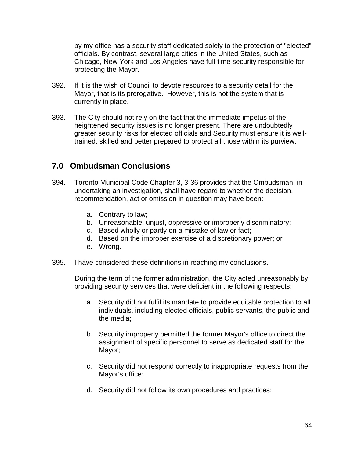by my office has a security staff dedicated solely to the protection of "elected" officials. By contrast, several large cities in the United States, such as Chicago, New York and Los Angeles have full-time security responsible for protecting the Mayor.

- 392. If it is the wish of Council to devote resources to a security detail for the Mayor, that is its prerogative. However, this is not the system that is currently in place.
- 393. The City should not rely on the fact that the immediate impetus of the heightened security issues is no longer present. There are undoubtedly greater security risks for elected officials and Security must ensure it is welltrained, skilled and better prepared to protect all those within its purview.

# <span id="page-63-0"></span>**7.0 Ombudsman Conclusions**

- 394. Toronto Municipal Code Chapter 3, 3-36 provides that the Ombudsman, in undertaking an investigation, shall have regard to whether the decision, recommendation, act or omission in question may have been:
	- a. Contrary to law;
	- b. Unreasonable, unjust, oppressive or improperly discriminatory;
	- c. Based wholly or partly on a mistake of law or fact;
	- d. Based on the improper exercise of a discretionary power; or
	- e. Wrong.
- 395. I have considered these definitions in reaching my conclusions.

During the term of the former administration, the City acted unreasonably by providing security services that were deficient in the following respects:

- a. Security did not fulfil its mandate to provide equitable protection to all individuals, including elected officials, public servants, the public and the media;
- b. Security improperly permitted the former Mayor's office to direct the assignment of specific personnel to serve as dedicated staff for the Mayor;
- c. Security did not respond correctly to inappropriate requests from the Mayor's office;
- d. Security did not follow its own procedures and practices;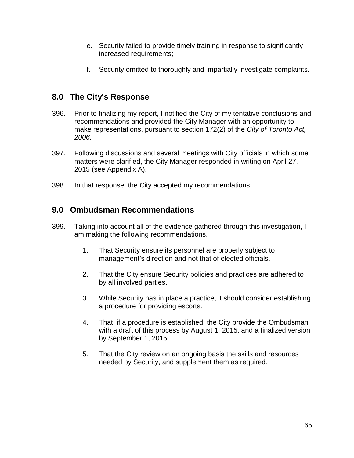- e. Security failed to provide timely training in response to significantly increased requirements;
- f. Security omitted to thoroughly and impartially investigate complaints.

# <span id="page-64-0"></span>**8.0 The City's Response**

- 396. Prior to finalizing my report, I notified the City of my tentative conclusions and recommendations and provided the City Manager with an opportunity to make representations, pursuant to section 172(2) of the *City of Toronto Act, 2006.*
- 397. Following discussions and several meetings with City officials in which some matters were clarified, the City Manager responded in writing on April 27, 2015 (see Appendix A).
- 398. In that response, the City accepted my recommendations.

# <span id="page-64-1"></span>**9.0 Ombudsman Recommendations**

- 399. Taking into account all of the evidence gathered through this investigation, I am making the following recommendations.
	- 1. That Security ensure its personnel are properly subject to management's direction and not that of elected officials.
	- 2. That the City ensure Security policies and practices are adhered to by all involved parties.
	- 3. While Security has in place a practice, it should consider establishing a procedure for providing escorts.
	- 4. That, if a procedure is established, the City provide the Ombudsman with a draft of this process by August 1, 2015, and a finalized version by September 1, 2015.
	- 5. That the City review on an ongoing basis the skills and resources needed by Security, and supplement them as required.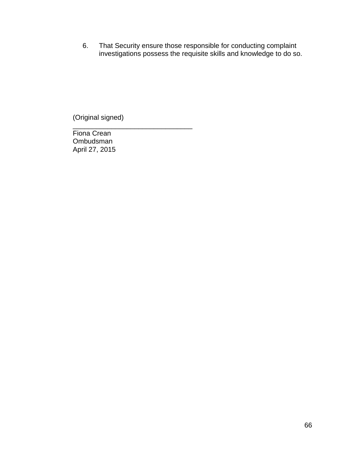6. That Security ensure those responsible for conducting complaint investigations possess the requisite skills and knowledge to do so.

(Original signed)

\_\_\_\_\_\_\_\_\_\_\_\_\_\_\_\_\_\_\_\_\_\_\_\_\_\_\_\_\_\_\_

Fiona Crean Ombudsman April 27, 2015